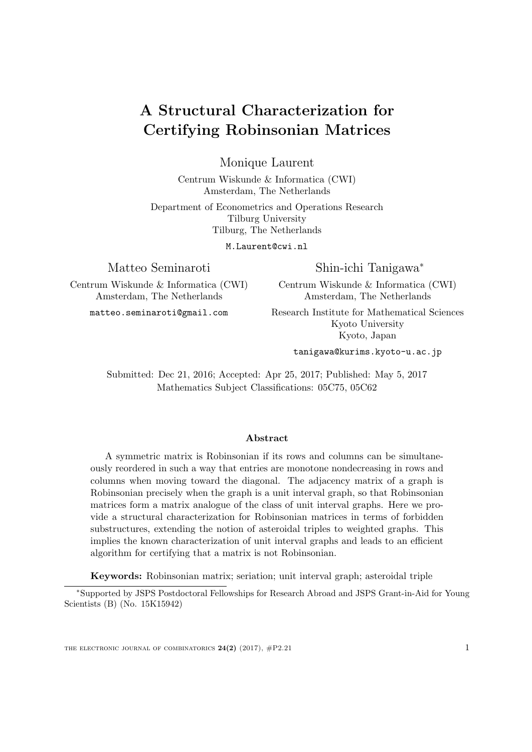# <span id="page-0-0"></span>A Structural Characterization for Certifying Robinsonian Matrices

Monique Laurent

Centrum Wiskunde & Informatica (CWI) Amsterdam, The Netherlands

Department of Econometrics and Operations Research Tilburg University Tilburg, The Netherlands

M.Laurent@cwi.nl

Matteo Seminaroti

Centrum Wiskunde & Informatica (CWI) Amsterdam, The Netherlands

matteo.seminaroti@gmail.com

Shin-ichi Tanigawa<sup>∗</sup>

Centrum Wiskunde & Informatica (CWI) Amsterdam, The Netherlands

Research Institute for Mathematical Sciences Kyoto University Kyoto, Japan

tanigawa@kurims.kyoto-u.ac.jp

Submitted: Dec 21, 2016; Accepted: Apr 25, 2017; Published: May 5, 2017 Mathematics Subject Classifications: 05C75, 05C62

#### Abstract

A symmetric matrix is Robinsonian if its rows and columns can be simultaneously reordered in such a way that entries are monotone nondecreasing in rows and columns when moving toward the diagonal. The adjacency matrix of a graph is Robinsonian precisely when the graph is a unit interval graph, so that Robinsonian matrices form a matrix analogue of the class of unit interval graphs. Here we provide a structural characterization for Robinsonian matrices in terms of forbidden substructures, extending the notion of asteroidal triples to weighted graphs. This implies the known characterization of unit interval graphs and leads to an efficient algorithm for certifying that a matrix is not Robinsonian.

Keywords: Robinsonian matrix; seriation; unit interval graph; asteroidal triple

<sup>∗</sup>Supported by JSPS Postdoctoral Fellowships for Research Abroad and JSPS Grant-in-Aid for Young Scientists (B) (No. 15K15942)

THE ELECTRONIC JOURNAL OF COMBINATORICS  $24(2)$  (2017),  $\#P2.21$  1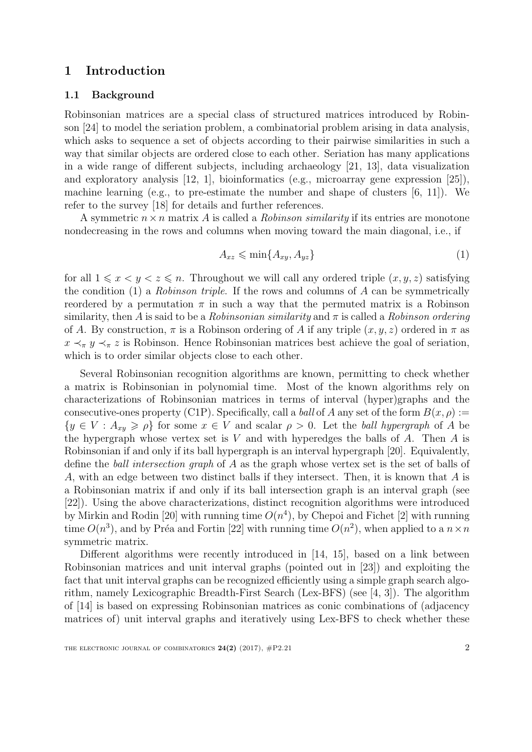# 1 Introduction

### 1.1 Background

Robinsonian matrices are a special class of structured matrices introduced by Robinson [\[24\]](#page-21-0) to model the seriation problem, a combinatorial problem arising in data analysis, which asks to sequence a set of objects according to their pairwise similarities in such a way that similar objects are ordered close to each other. Seriation has many applications in a wide range of different subjects, including archaeology [\[21,](#page-21-1) [13\]](#page-20-0), data visualization and exploratory analysis  $[12, 1]$  $[12, 1]$  $[12, 1]$ , bioinformatics (e.g., microarray gene expression  $[25]$ ), machine learning (e.g., to pre-estimate the number and shape of clusters  $[6, 11]$  $[6, 11]$  $[6, 11]$ ). We refer to the survey [\[18\]](#page-20-4) for details and further references.

A symmetric  $n \times n$  matrix A is called a *Robinson similarity* if its entries are monotone nondecreasing in the rows and columns when moving toward the main diagonal, i.e., if

<span id="page-1-0"></span>
$$
A_{xz} \leqslant \min\{A_{xy}, A_{yz}\}\tag{1}
$$

for all  $1 \leq x \leq y \leq z \leq n$ . Throughout we will call any ordered triple  $(x, y, z)$  satisfying the condition  $(1)$  a *Robinson triple*. If the rows and columns of A can be symmetrically reordered by a permutation  $\pi$  in such a way that the permuted matrix is a Robinson similarity, then A is said to be a Robinsonian similarity and  $\pi$  is called a Robinson ordering of A. By construction,  $\pi$  is a Robinson ordering of A if any triple  $(x, y, z)$  ordered in  $\pi$  as  $x \prec_{\pi} y \prec_{\pi} z$  is Robinson. Hence Robinsonian matrices best achieve the goal of seriation, which is to order similar objects close to each other.

Several Robinsonian recognition algorithms are known, permitting to check whether a matrix is Robinsonian in polynomial time. Most of the known algorithms rely on characterizations of Robinsonian matrices in terms of interval (hyper)graphs and the consecutive-ones property (C1P). Specifically, call a *ball* of A any set of the form  $B(x, \rho) :=$  ${y \in V : A_{xy} \geq \rho}$  for some  $x \in V$  and scalar  $\rho > 0$ . Let the ball hypergraph of A be the hypergraph whose vertex set is  $V$  and with hyperedges the balls of  $A$ . Then  $A$  is Robinsonian if and only if its ball hypergraph is an interval hypergraph [\[20\]](#page-21-3). Equivalently, define the ball intersection graph of A as the graph whose vertex set is the set of balls of A, with an edge between two distinct balls if they intersect. Then, it is known that A is a Robinsonian matrix if and only if its ball intersection graph is an interval graph (see [\[22\]](#page-21-4)). Using the above characterizations, distinct recognition algorithms were introduced by Mirkin and Rodin [\[20\]](#page-21-3) with running time  $O(n^4)$ , by Chepoi and Fichet [\[2\]](#page-19-1) with running time  $O(n^3)$ , and by Préa and Fortin [\[22\]](#page-21-4) with running time  $O(n^2)$ , when applied to a  $n \times n$ symmetric matrix.

Different algorithms were recently introduced in [\[14,](#page-20-5) [15\]](#page-20-6), based on a link between Robinsonian matrices and unit interval graphs (pointed out in [\[23\]](#page-21-5)) and exploiting the fact that unit interval graphs can be recognized efficiently using a simple graph search algorithm, namely Lexicographic Breadth-First Search (Lex-BFS) (see [\[4,](#page-20-7) [3\]](#page-19-2)). The algorithm of [\[14\]](#page-20-5) is based on expressing Robinsonian matrices as conic combinations of (adjacency matrices of) unit interval graphs and iteratively using Lex-BFS to check whether these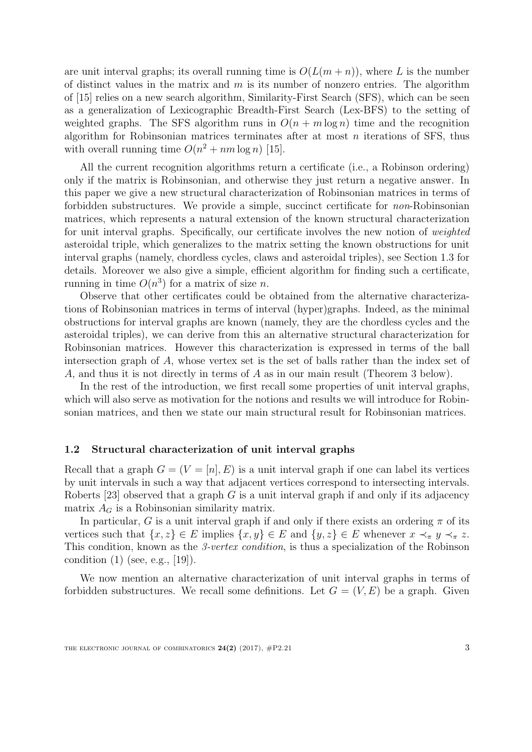are unit interval graphs; its overall running time is  $O(L(m+n))$ , where L is the number of distinct values in the matrix and  $m$  is its number of nonzero entries. The algorithm of [\[15\]](#page-20-6) relies on a new search algorithm, Similarity-First Search (SFS), which can be seen as a generalization of Lexicographic Breadth-First Search (Lex-BFS) to the setting of weighted graphs. The SFS algorithm runs in  $O(n + m \log n)$  time and the recognition algorithm for Robinsonian matrices terminates after at most  $n$  iterations of SFS, thus with overall running time  $O(n^2 + nm \log n)$  [\[15\]](#page-20-6).

All the current recognition algorithms return a certificate (i.e., a Robinson ordering) only if the matrix is Robinsonian, and otherwise they just return a negative answer. In this paper we give a new structural characterization of Robinsonian matrices in terms of forbidden substructures. We provide a simple, succinct certificate for non-Robinsonian matrices, which represents a natural extension of the known structural characterization for unit interval graphs. Specifically, our certificate involves the new notion of weighted asteroidal triple, which generalizes to the matrix setting the known obstructions for unit interval graphs (namely, chordless cycles, claws and asteroidal triples), see Section [1.3](#page-3-0) for details. Moreover we also give a simple, efficient algorithm for finding such a certificate, running in time  $O(n^3)$  for a matrix of size n.

Observe that other certificates could be obtained from the alternative characterizations of Robinsonian matrices in terms of interval (hyper)graphs. Indeed, as the minimal obstructions for interval graphs are known (namely, they are the chordless cycles and the asteroidal triples), we can derive from this an alternative structural characterization for Robinsonian matrices. However this characterization is expressed in terms of the ball intersection graph of A, whose vertex set is the set of balls rather than the index set of A, and thus it is not directly in terms of A as in our main result (Theorem [3](#page-4-0) below).

In the rest of the introduction, we first recall some properties of unit interval graphs, which will also serve as motivation for the notions and results we will introduce for Robinsonian matrices, and then we state our main structural result for Robinsonian matrices.

#### 1.2 Structural characterization of unit interval graphs

Recall that a graph  $G = (V = [n], E)$  is a unit interval graph if one can label its vertices by unit intervals in such a way that adjacent vertices correspond to intersecting intervals. Roberts [\[23\]](#page-21-5) observed that a graph  $G$  is a unit interval graph if and only if its adjacency matrix  $A_G$  is a Robinsonian similarity matrix.

In particular, G is a unit interval graph if and only if there exists an ordering  $\pi$  of its vertices such that  $\{x, z\} \in E$  implies  $\{x, y\} \in E$  and  $\{y, z\} \in E$  whenever  $x \prec_{\pi} y \prec_{\pi} z$ . This condition, known as the 3-vertex condition, is thus a specialization of the Robinson condition  $(1)$  (see, e.g.,  $|19|$ ).

We now mention an alternative characterization of unit interval graphs in terms of forbidden substructures. We recall some definitions. Let  $G = (V, E)$  be a graph. Given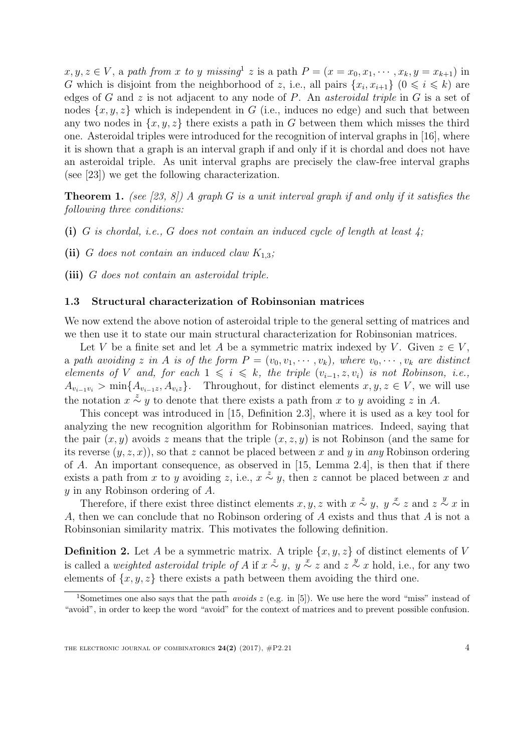$x, y, z \in V$ , a path from x to y missing<sup>[1](#page-3-1)</sup> z is a path  $P = (x = x_0, x_1, \dots, x_k, y = x_{k+1})$  in G which is disjoint from the neighborhood of z, i.e., all pairs  $\{x_i, x_{i+1}\}$   $(0 \leq i \leq k)$  are edges of G and z is not adjacent to any node of P. An *asteroidal triple* in G is a set of nodes  $\{x, y, z\}$  which is independent in G (i.e., induces no edge) and such that between any two nodes in  $\{x, y, z\}$  there exists a path in G between them which misses the third one. Asteroidal triples were introduced for the recognition of interval graphs in [\[16\]](#page-20-9), where it is shown that a graph is an interval graph if and only if it is chordal and does not have an asteroidal triple. As unit interval graphs are precisely the claw-free interval graphs (see [\[23\]](#page-21-5)) we get the following characterization.

<span id="page-3-2"></span>**Theorem 1.** (see [\[23,](#page-21-5) [8\]](#page-20-10)) A graph G is a unit interval graph if and only if it satisfies the following three conditions:

- (i) G is chordal, i.e., G does not contain an induced cycle of length at least  $\chi$ ;
- (ii) G does not contain an induced claw  $K_{1,3}$ ;
- (iii) G does not contain an asteroidal triple.

### <span id="page-3-0"></span>1.3 Structural characterization of Robinsonian matrices

We now extend the above notion of asteroidal triple to the general setting of matrices and we then use it to state our main structural characterization for Robinsonian matrices.

Let V be a finite set and let A be a symmetric matrix indexed by V. Given  $z \in V$ , a path avoiding z in A is of the form  $P = (v_0, v_1, \dots, v_k)$ , where  $v_0, \dots, v_k$  are distinct elements of V and, for each  $1 \leqslant i \leqslant k$ , the triple  $(v_{i-1}, z, v_i)$  is not Robinson, i.e.,  $A_{v_{i-1}v_i} > \min\{A_{v_{i-1}z}, A_{v_i z}\}.$  Throughout, for distinct elements  $x, y, z \in V$ , we will use the notation  $x \stackrel{z}{\sim} y$  to denote that there exists a path from x to y avoiding z in A.

This concept was introduced in [\[15,](#page-20-6) Definition 2.3], where it is used as a key tool for analyzing the new recognition algorithm for Robinsonian matrices. Indeed, saying that the pair  $(x, y)$  avoids z means that the triple  $(x, z, y)$  is not Robinson (and the same for its reverse  $(y, z, x)$ , so that z cannot be placed between x and y in any Robinson ordering of A. An important consequence, as observed in [\[15,](#page-20-6) Lemma 2.4], is then that if there exists a path from x to y avoiding z, i.e.,  $x \stackrel{z}{\sim} y$ , then z cannot be placed between x and y in any Robinson ordering of A.

Therefore, if there exist three distinct elements x, y, z with  $x \stackrel{z}{\sim} y$ ,  $y \stackrel{x}{\sim} z$  and  $z \stackrel{y}{\sim} x$  in A, then we can conclude that no Robinson ordering of A exists and thus that A is not a Robinsonian similarity matrix. This motivates the following definition.

**Definition 2.** Let A be a symmetric matrix. A triple  $\{x, y, z\}$  of distinct elements of V is called a *weighted asteroidal triple of A* if  $x \stackrel{z}{\sim} y$ ,  $y \stackrel{x}{\sim} z$  and  $z \stackrel{y}{\sim} x$  hold, i.e., for any two elements of  $\{x, y, z\}$  there exists a path between them avoiding the third one.

<span id="page-3-1"></span><sup>&</sup>lt;sup>1</sup>Sometimes one also says that the path *avoids z* (e.g. in [\[5\]](#page-20-11)). We use here the word "miss" instead of "avoid", in order to keep the word "avoid" for the context of matrices and to prevent possible confusion.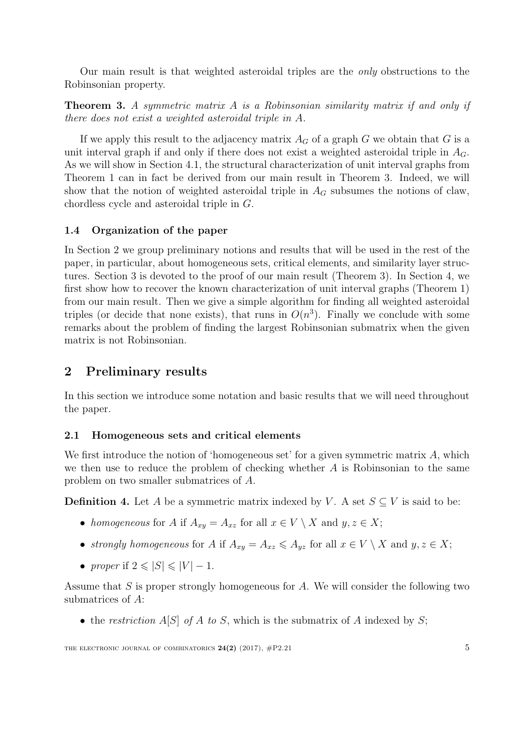Our main result is that weighted asteroidal triples are the only obstructions to the Robinsonian property.

<span id="page-4-0"></span>Theorem 3. A symmetric matrix A is a Robinsonian similarity matrix if and only if there does not exist a weighted asteroidal triple in A.

If we apply this result to the adjacency matrix  $A_G$  of a graph G we obtain that G is a unit interval graph if and only if there does not exist a weighted asteroidal triple in  $A_G$ . As we will show in Section [4.1,](#page-15-0) the structural characterization of unit interval graphs from Theorem [1](#page-3-2) can in fact be derived from our main result in Theorem [3.](#page-4-0) Indeed, we will show that the notion of weighted asteroidal triple in  $A_G$  subsumes the notions of claw, chordless cycle and asteroidal triple in G.

## 1.4 Organization of the paper

In Section [2](#page-4-1) we group preliminary notions and results that will be used in the rest of the paper, in particular, about homogeneous sets, critical elements, and similarity layer structures. Section [3](#page-8-0) is devoted to the proof of our main result (Theorem [3\)](#page-4-0). In Section [4,](#page-15-1) we first show how to recover the known characterization of unit interval graphs (Theorem [1\)](#page-3-2) from our main result. Then we give a simple algorithm for finding all weighted asteroidal triples (or decide that none exists), that runs in  $O(n^3)$ . Finally we conclude with some remarks about the problem of finding the largest Robinsonian submatrix when the given matrix is not Robinsonian.

# <span id="page-4-1"></span>2 Preliminary results

In this section we introduce some notation and basic results that we will need throughout the paper.

### 2.1 Homogeneous sets and critical elements

We first introduce the notion of 'homogeneous set' for a given symmetric matrix  $A$ , which we then use to reduce the problem of checking whether  $A$  is Robinsonian to the same problem on two smaller submatrices of A.

**Definition 4.** Let A be a symmetric matrix indexed by V. A set  $S \subseteq V$  is said to be:

- homogeneous for A if  $A_{xy} = A_{xz}$  for all  $x \in V \setminus X$  and  $y, z \in X$ ;
- strongly homogeneous for A if  $A_{xy} = A_{xz} \leq A_{yz}$  for all  $x \in V \setminus X$  and  $y, z \in X$ ;
- proper if  $2 \leq |S| \leq |V| 1$ .

Assume that  $S$  is proper strongly homogeneous for  $A$ . We will consider the following two submatrices of A:

• the restriction  $A[S]$  of A to S, which is the submatrix of A indexed by S;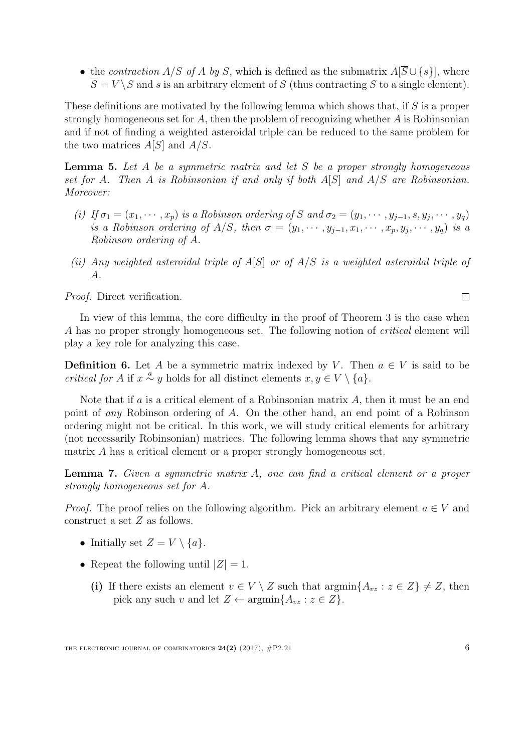• the contraction A/S of A by S, which is defined as the submatrix  $A[\overline{S} \cup \{s\}]$ , where  $\overline{S} = V \setminus S$  and s is an arbitrary element of S (thus contracting S to a single element).

These definitions are motivated by the following lemma which shows that, if S is a proper strongly homogeneous set for  $A$ , then the problem of recognizing whether  $A$  is Robinsonian and if not of finding a weighted asteroidal triple can be reduced to the same problem for the two matrices  $A[S]$  and  $A/S$ .

<span id="page-5-1"></span>**Lemma 5.** Let A be a symmetric matrix and let S be a proper strongly homogeneous set for A. Then A is Robinsonian if and only if both A[S] and A/S are Robinsonian. Moreover:

- (i) If  $\sigma_1 = (x_1, \dots, x_p)$  is a Robinson ordering of S and  $\sigma_2 = (y_1, \dots, y_{j-1}, s, y_j, \dots, y_q)$ is a Robinson ordering of  $A/S$ , then  $\sigma = (y_1, \dots, y_{j-1}, x_1, \dots, x_p, y_j, \dots, y_q)$  is a Robinson ordering of A.
- (ii) Any weighted asteroidal triple of  $A[S]$  or of  $A/S$  is a weighted asteroidal triple of A.

Proof. Direct verification.

In view of this lemma, the core difficulty in the proof of Theorem [3](#page-4-0) is the case when A has no proper strongly homogeneous set. The following notion of *critical* element will play a key role for analyzing this case.

**Definition 6.** Let A be a symmetric matrix indexed by V. Then  $a \in V$  is said to be *critical for* A if  $x \stackrel{a}{\sim} y$  holds for all distinct elements  $x, y \in V \setminus \{a\}.$ 

Note that if  $a$  is a critical element of a Robinsonian matrix  $A$ , then it must be an end point of any Robinson ordering of A. On the other hand, an end point of a Robinson ordering might not be critical. In this work, we will study critical elements for arbitrary (not necessarily Robinsonian) matrices. The following lemma shows that any symmetric matrix A has a critical element or a proper strongly homogeneous set.

<span id="page-5-0"></span>Lemma 7. Given a symmetric matrix A, one can find a critical element or a proper strongly homogeneous set for A.

*Proof.* The proof relies on the following algorithm. Pick an arbitrary element  $a \in V$  and construct a set Z as follows.

- Initially set  $Z = V \setminus \{a\}.$
- Repeat the following until  $|Z| = 1$ .
	- (i) If there exists an element  $v \in V \setminus Z$  such that  $\operatorname{argmin}{A_{vz} : z \in Z} \neq Z$ , then pick any such v and let  $Z \leftarrow \operatorname{argmin} \{ A_{vz} : z \in Z \}.$

 $\Box$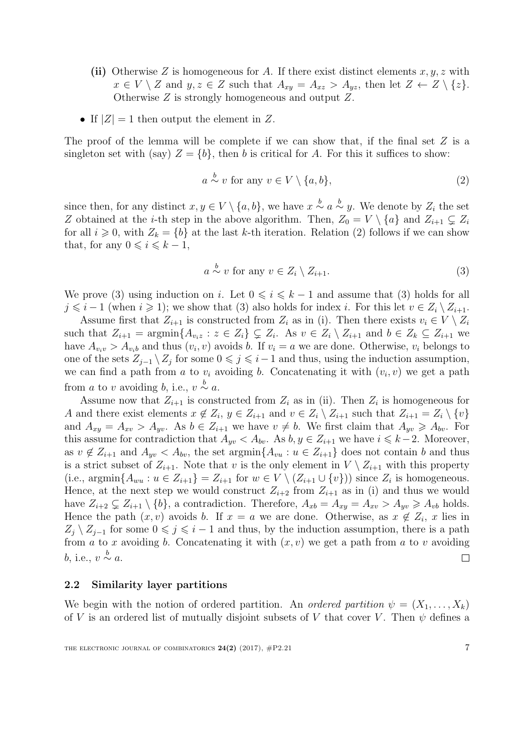- (ii) Otherwise Z is homogeneous for A. If there exist distinct elements  $x, y, z$  with  $x \in V \setminus Z$  and  $y, z \in Z$  such that  $A_{xy} = A_{xz} > A_{yz}$ , then let  $Z \leftarrow Z \setminus \{z\}.$ Otherwise Z is strongly homogeneous and output Z.
- If  $|Z|=1$  then output the element in Z.

The proof of the lemma will be complete if we can show that, if the final set  $Z$  is a singleton set with (say)  $Z = \{b\}$ , then b is critical for A. For this it suffices to show:

<span id="page-6-0"></span>
$$
a \stackrel{b}{\sim} v \text{ for any } v \in V \setminus \{a, b\},\tag{2}
$$

since then, for any distinct  $x, y \in V \setminus \{a, b\}$ , we have  $x \stackrel{b}{\sim} a \stackrel{b}{\sim} y$ . We denote by  $Z_i$  the set Z obtained at the *i*-th step in the above algorithm. Then,  $Z_0 = V \setminus \{a\}$  and  $Z_{i+1} \subsetneq Z_i$ for all  $i \geq 0$ , with  $Z_k = \{b\}$  at the last k-th iteration. Relation [\(2\)](#page-6-0) follows if we can show that, for any  $0 \leq i \leq k - 1$ ,

<span id="page-6-1"></span>
$$
a \stackrel{b}{\sim} v \text{ for any } v \in Z_i \setminus Z_{i+1}.\tag{3}
$$

We prove [\(3\)](#page-6-1) using induction on i. Let  $0 \leq i \leq k - 1$  and assume that (3) holds for all  $j \leq i - 1$  (when  $i \geq 1$ ); we show that [\(3\)](#page-6-1) also holds for index i. For this let  $v \in Z_i \setminus Z_{i+1}$ .

Assume first that  $Z_{i+1}$  is constructed from  $Z_i$  as in (i). Then there exists  $v_i \in V \setminus Z_i$ such that  $Z_{i+1} = \operatorname{argmin} \{ A_{v_i z} : z \in Z_i \} \subsetneq Z_i$ . As  $v \in Z_i \setminus Z_{i+1}$  and  $b \in Z_k \subseteq Z_{i+1}$  we have  $A_{v_i v} > A_{v_i b}$  and thus  $(v_i, v)$  avoids b. If  $v_i = a$  we are done. Otherwise,  $v_i$  belongs to one of the sets  $Z_{j-1} \setminus Z_j$  for some  $0 \leq j \leq i-1$  and thus, using the induction assumption, we can find a path from a to  $v_i$  avoiding b. Concatenating it with  $(v_i, v)$  we get a path from a to v avoiding b, i.e.,  $v \stackrel{b}{\sim} a$ .

Assume now that  $Z_{i+1}$  is constructed from  $Z_i$  as in (ii). Then  $Z_i$  is homogeneous for A and there exist elements  $x \notin Z_i$ ,  $y \in Z_{i+1}$  and  $v \in Z_i \setminus Z_{i+1}$  such that  $Z_{i+1} = Z_i \setminus \{v\}$ and  $A_{xy} = A_{xy} > A_{yy}$ . As  $b \in Z_{i+1}$  we have  $v \neq b$ . We first claim that  $A_{yy} \geq A_{bv}$ . For this assume for contradiction that  $A_{uv} < A_{bv}$ . As  $b, y \in Z_{i+1}$  we have  $i \leq k-2$ . Moreover, as  $v \notin Z_{i+1}$  and  $A_{yv} < A_{bv}$ , the set argmin $\{A_{vu} : u \in Z_{i+1}\}$  does not contain b and thus is a strict subset of  $Z_{i+1}$ . Note that v is the only element in  $V \setminus Z_{i+1}$  with this property (i.e.,  $\operatorname{argmin} \{ A_{wu} : u \in Z_{i+1} \} = Z_{i+1}$  for  $w \in V \setminus (Z_{i+1} \cup \{v\})$  since  $Z_i$  is homogeneous. Hence, at the next step we would construct  $Z_{i+2}$  from  $Z_{i+1}$  as in (i) and thus we would have  $Z_{i+2} \subsetneq Z_{i+1} \setminus \{b\}$ , a contradiction. Therefore,  $A_{xb} = A_{xy} = A_{xy} > A_{yy} \geq A_{vb}$  holds. Hence the path  $(x, v)$  avoids b. If  $x = a$  we are done. Otherwise, as  $x \notin Z_i$ , x lies in  $Z_i \setminus Z_{i-1}$  for some  $0 \leq i \leq i-1$  and thus, by the induction assumption, there is a path from a to x avoiding b. Concatenating it with  $(x, v)$  we get a path from a to v avoiding b, i.e.,  $v \overset{b}{\sim} a$ .  $\Box$ 

### 2.2 Similarity layer partitions

We begin with the notion of ordered partition. An *ordered partition*  $\psi = (X_1, \ldots, X_k)$ of V is an ordered list of mutually disjoint subsets of V that cover V. Then  $\psi$  defines a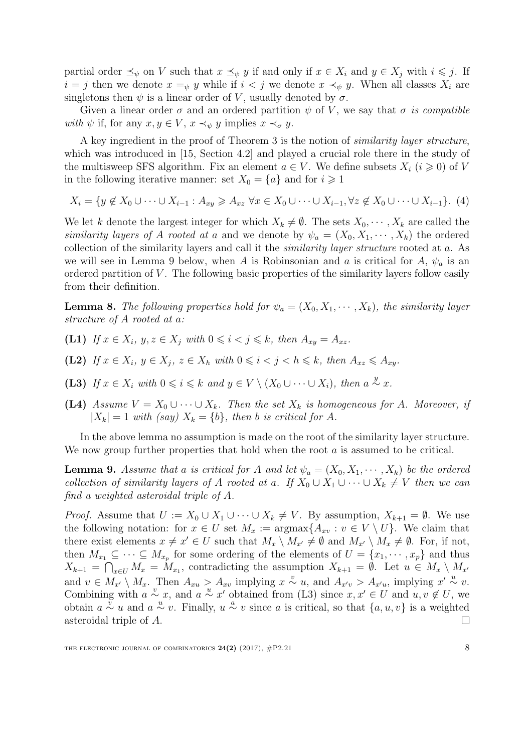partial order  $\preceq_{\psi}$  on V such that  $x \preceq_{\psi} y$  if and only if  $x \in X_i$  and  $y \in X_j$  with  $i \leq j$ . If  $i = j$  then we denote  $x =_\psi y$  while if  $i < j$  we denote  $x \prec_\psi y$ . When all classes  $X_i$  are singletons then  $\psi$  is a linear order of V, usually denoted by  $\sigma$ .

Given a linear order  $\sigma$  and an ordered partition  $\psi$  of V, we say that  $\sigma$  is compatible with  $\psi$  if, for any  $x, y \in V$ ,  $x \prec_{\psi} y$  implies  $x \prec_{\sigma} y$ .

A key ingredient in the proof of Theorem [3](#page-4-0) is the notion of similarity layer structure, which was introduced in [\[15,](#page-20-6) Section 4.2] and played a crucial role there in the study of the multisweep SFS algorithm. Fix an element  $a \in V$ . We define subsets  $X_i$   $(i \geq 0)$  of V in the following iterative manner: set  $X_0 = \{a\}$  and for  $i \geq 1$ 

$$
X_i = \{ y \notin X_0 \cup \dots \cup X_{i-1} : A_{xy} \geq A_{xz} \,\forall x \in X_0 \cup \dots \cup X_{i-1}, \forall z \notin X_0 \cup \dots \cup X_{i-1} \}. \tag{4}
$$

We let k denote the largest integer for which  $X_k \neq \emptyset$ . The sets  $X_0, \dots, X_k$  are called the similarity layers of A rooted at a and we denote by  $\psi_a = (X_0, X_1, \dots, X_k)$  the ordered collection of the similarity layers and call it the *similarity layer structure* rooted at a. As we will see in Lemma [9](#page-7-0) below, when A is Robinsonian and a is critical for A,  $\psi_a$  is an ordered partition of  $V$ . The following basic properties of the similarity layers follow easily from their definition.

**Lemma 8.** The following properties hold for  $\psi_a = (X_0, X_1, \dots, X_k)$ , the similarity layer structure of A rooted at a:

- (L1) If  $x \in X_i$ ,  $y, z \in X_j$  with  $0 \leq i \leq j \leq k$ , then  $A_{xy} = A_{xz}$ .
- (L2) If  $x \in X_i$ ,  $y \in X_j$ ,  $z \in X_h$  with  $0 \leq i < j < h \leq k$ , then  $A_{xz} \leq A_{xy}$ .
- (L3) If  $x \in X_i$  with  $0 \leq i \leq k$  and  $y \in V \setminus (X_0 \cup \cdots \cup X_i)$ , then  $a \stackrel{y}{\sim} x$ .
- (L4) Assume  $V = X_0 \cup \cdots \cup X_k$ . Then the set  $X_k$  is homogeneous for A. Moreover, if  $|X_k| = 1$  with (say)  $X_k = \{b\}$ , then b is critical for A.

In the above lemma no assumption is made on the root of the similarity layer structure. We now group further properties that hold when the root  $\alpha$  is assumed to be critical.

<span id="page-7-0"></span>**Lemma 9.** Assume that a is critical for A and let  $\psi_a = (X_0, X_1, \dots, X_k)$  be the ordered collection of similarity layers of A rooted at a. If  $X_0 \cup X_1 \cup \cdots \cup X_k \neq V$  then we can find a weighted asteroidal triple of A.

*Proof.* Assume that  $U := X_0 \cup X_1 \cup \cdots \cup X_k \neq V$ . By assumption,  $X_{k+1} = \emptyset$ . We use the following notation: for  $x \in U$  set  $M_x := \text{argmax}\{A_{xv} : v \in V \setminus U\}$ . We claim that there exist elements  $x \neq x' \in U$  such that  $M_x \setminus M_{x'} \neq \emptyset$  and  $M_{x'} \setminus M_x \neq \emptyset$ . For, if not, then  $M_{x_1} \subseteq \cdots \subseteq M_{x_p}$  for some ordering of the elements of  $U = \{x_1, \dots, x_p\}$  and thus  $X_{k+1} = \bigcap_{x \in U} M_x = M_{x_1}$ , contradicting the assumption  $X_{k+1} = \emptyset$ . Let  $u \in M_x \setminus M_{x'}$ and  $v \in M_{x'} \setminus M_x$ . Then  $A_{x} > A_{x}$  implying  $x \stackrel{v}{\sim} u$ , and  $A_{x'v} > A_{x'u}$ , implying  $x' \stackrel{u}{\sim} v$ . Combining with  $a \stackrel{v}{\sim} x$ , and  $a \stackrel{u}{\sim} x'$  obtained from (L3) since  $x, x' \in U$  and  $u, v \notin U$ , we obtain  $a \stackrel{v}{\sim} u$  and  $a \stackrel{u}{\sim} v$ . Finally,  $u \stackrel{a}{\sim} v$  since a is critical, so that  $\{a, u, v\}$  is a weighted asteroidal triple of A.  $\Box$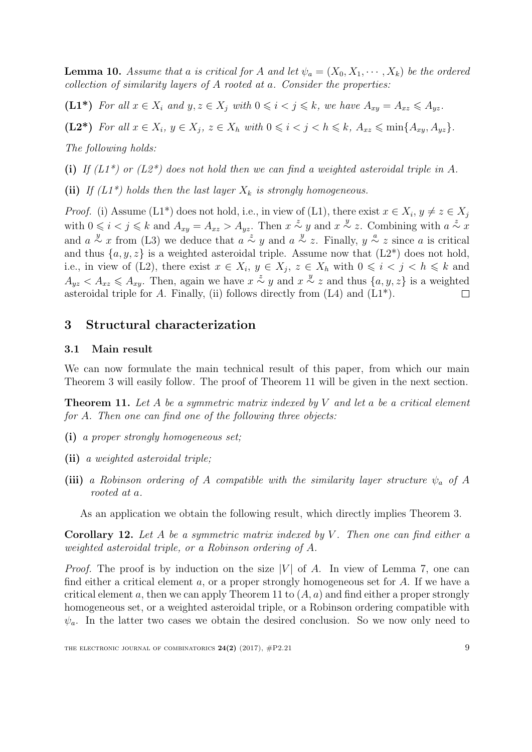<span id="page-8-2"></span>**Lemma 10.** Assume that a is critical for A and let  $\psi_a = (X_0, X_1, \dots, X_k)$  be the ordered collection of similarity layers of A rooted at a. Consider the properties:

(L1\*) For all  $x \in X_i$  and  $y, z \in X_j$  with  $0 \leq i < j \leq k$ , we have  $A_{xy} = A_{xz} \leq A_{yz}$ .

(L2\*) For all  $x \in X_i$ ,  $y \in X_j$ ,  $z \in X_h$  with  $0 \leq i < j < h \leq k$ ,  $A_{xz} \leq \min\{A_{xy}, A_{yz}\}.$ 

The following holds:

(i) If  $(L1^*)$  or  $(L2^*)$  does not hold then we can find a weighted asteroidal triple in A.

(ii) If  $(L1^*)$  holds then the last layer  $X_k$  is strongly homogeneous.

*Proof.* (i) Assume (L1<sup>\*</sup>) does not hold, i.e., in view of (L1), there exist  $x \in X_i$ ,  $y \neq z \in X_j$ with  $0 \leq i < j \leq k$  and  $A_{xy} = A_{xz} > A_{yz}$ . Then  $x \stackrel{z}{\sim} y$  and  $x \stackrel{y}{\sim} z$ . Combining with  $a \stackrel{z}{\sim} x$ and  $a \stackrel{y}{\sim} x$  from (L3) we deduce that  $a \stackrel{z}{\sim} y$  and  $a \stackrel{y}{\sim} z$ . Finally,  $y \stackrel{a}{\sim} z$  since a is critical and thus  $\{a, y, z\}$  is a weighted asteroidal triple. Assume now that  $(L2^*)$  does not hold, i.e., in view of (L2), there exist  $x \in X_i$ ,  $y \in X_j$ ,  $z \in X_h$  with  $0 \leq i \leq j \leq h \leq k$  and  $A_{yz} < A_{xz} \leq A_{xy}$ . Then, again we have  $x \stackrel{z}{\sim} y$  and  $x \stackrel{y}{\sim} z$  and thus  $\{a, y, z\}$  is a weighted asteroidal triple for A. Finally, (ii) follows directly from  $(L4)$  and  $(L1^*)$ .  $\Box$ 

# <span id="page-8-0"></span>3 Structural characterization

## 3.1 Main result

We can now formulate the main technical result of this paper, from which our main Theorem [3](#page-4-0) will easily follow. The proof of Theorem [11](#page-8-1) will be given in the next section.

<span id="page-8-1"></span>**Theorem 11.** Let A be a symmetric matrix indexed by V and let a be a critical element for A. Then one can find one of the following three objects:

- (i) a proper strongly homogeneous set;
- (ii) a weighted asteroidal triple;
- (iii) a Robinson ordering of A compatible with the similarity layer structure  $\psi_a$  of A rooted at a.

As an application we obtain the following result, which directly implies Theorem [3.](#page-4-0)

**Corollary 12.** Let A be a symmetric matrix indexed by V. Then one can find either a weighted asteroidal triple, or a Robinson ordering of A.

*Proof.* The proof is by induction on the size  $|V|$  of A. In view of Lemma [7,](#page-5-0) one can find either a critical element  $a$ , or a proper strongly homogeneous set for  $A$ . If we have a critical element a, then we can apply Theorem [11](#page-8-1) to  $(A, a)$  and find either a proper strongly homogeneous set, or a weighted asteroidal triple, or a Robinson ordering compatible with  $\psi_a$ . In the latter two cases we obtain the desired conclusion. So we now only need to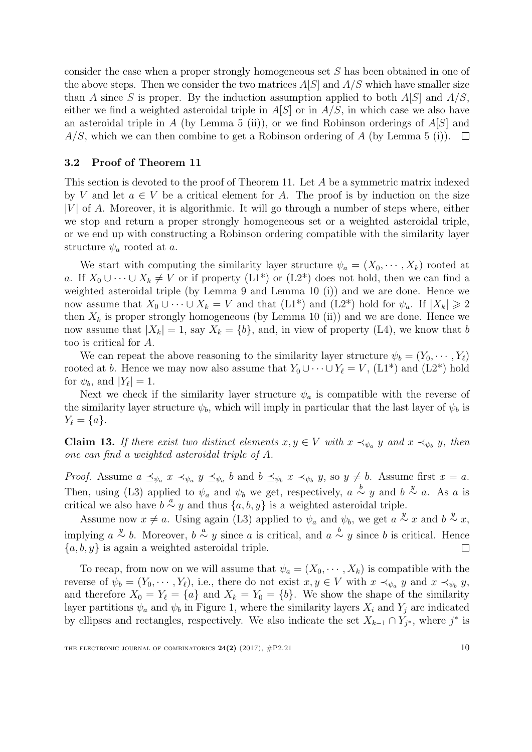consider the case when a proper strongly homogeneous set S has been obtained in one of the above steps. Then we consider the two matrices  $A[S]$  and  $A/S$  which have smaller size than A since S is proper. By the induction assumption applied to both  $A[S]$  and  $A/S$ , either we find a weighted asteroidal triple in  $A[S]$  or in  $A/S$ , in which case we also have an asteroidal triple in A (by Lemma [5](#page-5-1) (ii)), or we find Robinson orderings of  $A[S]$  and  $A/S$ , which we can then combine to get a Robinson ordering of A (by Lemma [5](#page-5-1) (i)).  $\square$ 

### 3.2 Proof of Theorem [11](#page-8-1)

This section is devoted to the proof of Theorem [11.](#page-8-1) Let A be a symmetric matrix indexed by V and let  $a \in V$  be a critical element for A. The proof is by induction on the size  $|V|$  of A. Moreover, it is algorithmic. It will go through a number of steps where, either we stop and return a proper strongly homogeneous set or a weighted asteroidal triple, or we end up with constructing a Robinson ordering compatible with the similarity layer structure  $\psi_a$  rooted at a.

We start with computing the similarity layer structure  $\psi_a = (X_0, \dots, X_k)$  rooted at a. If  $X_0 \cup \cdots \cup X_k \neq V$  or if property  $(L1^*)$  or  $(L2^*)$  does not hold, then we can find a weighted asteroidal triple (by Lemma [9](#page-7-0) and Lemma [10](#page-8-2) (i)) and we are done. Hence we now assume that  $X_0 \cup \cdots \cup X_k = V$  and that  $(L1^*)$  and  $(L2^*)$  hold for  $\psi_a$ . If  $|X_k| \geq 2$ then  $X_k$  is proper strongly homogeneous (by Lemma [10](#page-8-2) (ii)) and we are done. Hence we now assume that  $|X_k| = 1$ , say  $X_k = \{b\}$ , and, in view of property (L4), we know that b too is critical for A.

We can repeat the above reasoning to the similarity layer structure  $\psi_b = (Y_0, \cdots, Y_\ell)$ rooted at b. Hence we may now also assume that  $Y_0 \cup \cdots \cup Y_\ell = V$ , (L1\*) and (L2\*) hold for  $\psi_b$ , and  $|Y_\ell| = 1$ .

Next we check if the similarity layer structure  $\psi_a$  is compatible with the reverse of the similarity layer structure  $\psi_b$ , which will imply in particular that the last layer of  $\psi_b$  is  $Y_{\ell} = \{a\}.$ 

**Claim 13.** If there exist two distinct elements  $x, y \in V$  with  $x \prec_{\psi_a} y$  and  $x \prec_{\psi_b} y$ , then one can find a weighted asteroidal triple of A.

*Proof.* Assume  $a \preceq_{\psi_a} x \prec_{\psi_a} y \preceq_{\psi_a} b$  and  $b \preceq_{\psi_b} x \prec_{\psi_b} y$ , so  $y \neq b$ . Assume first  $x = a$ . Then, using (L3) applied to  $\psi_a$  and  $\psi_b$  we get, respectively,  $a \stackrel{b}{\sim} y$  and  $b \stackrel{y}{\sim} a$ . As a is critical we also have  $b \stackrel{a}{\sim} y$  and thus  $\{a, b, y\}$  is a weighted asteroidal triple.

Assume now  $x \neq a$ . Using again (L3) applied to  $\psi_a$  and  $\psi_b$ , we get  $a \stackrel{y}{\sim} x$  and  $b \stackrel{y}{\sim} x$ , implying  $a \stackrel{y}{\sim} b$ . Moreover,  $b \stackrel{a}{\sim} y$  since a is critical, and  $a \stackrel{b}{\sim} y$  since b is critical. Hence  ${a, b, y}$  is again a weighted asteroidal triple.  $\Box$ 

To recap, from now on we will assume that  $\psi_a = (X_0, \dots, X_k)$  is compatible with the reverse of  $\psi_b = (Y_0, \dots, Y_\ell)$ , i.e., there do not exist  $x, y \in V$  with  $x \prec_{\psi_a} y$  and  $x \prec_{\psi_b} y$ , and therefore  $X_0 = Y_\ell = \{a\}$  and  $X_k = Y_0 = \{b\}$ . We show the shape of the similarity layer partitions  $\psi_a$  and  $\psi_b$  in Figure [1,](#page-10-0) where the similarity layers  $X_i$  and  $Y_j$  are indicated by ellipses and rectangles, respectively. We also indicate the set  $X_{k-1} \cap Y_{j^*}$ , where  $j^*$  is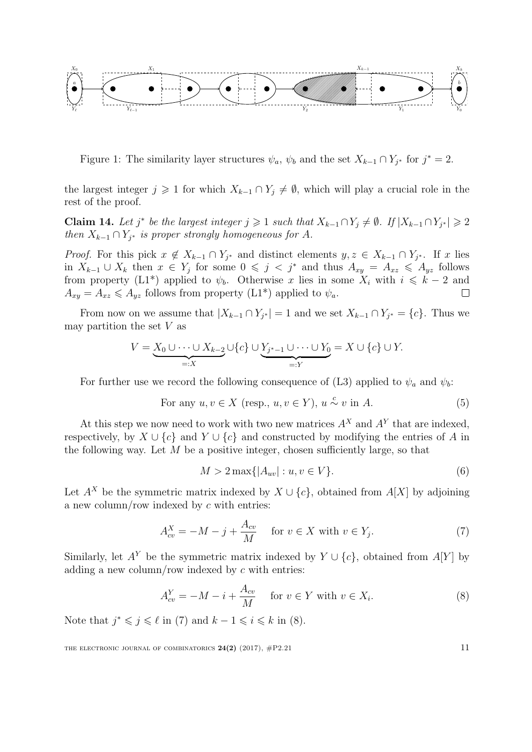

<span id="page-10-0"></span>Figure 1: The similarity layer structures  $\psi_a$ ,  $\psi_b$  and the set  $X_{k-1} \cap Y_{j^*}$  for  $j^* = 2$ .

the largest integer  $j \geq 1$  for which  $X_{k-1} \cap Y_j \neq \emptyset$ , which will play a crucial role in the rest of the proof.

**Claim 14.** Let j<sup>\*</sup> be the largest integer  $j \ge 1$  such that  $X_{k-1} \cap Y_j \ne \emptyset$ . If  $|X_{k-1} \cap Y_{j^*}| \ge 2$ then  $X_{k-1} \cap Y_{j^*}$  is proper strongly homogeneous for A.

*Proof.* For this pick  $x \notin X_{k-1} \cap Y_{j^*}$  and distinct elements  $y, z \in X_{k-1} \cap Y_{j^*}$ . If x lies in  $X_{k-1} \cup X_k$  then  $x \in Y_j$  for some  $0 \leqslant j < j^*$  and thus  $A_{xy} = A_{xz} \leqslant A_{yz}$  follows from property (L1<sup>\*</sup>) applied to  $\psi_b$ . Otherwise x lies in some  $X_i$  with  $i \leq k-2$  and  $A_{xy} = A_{xz} \leq A_{yz}$  follows from property  $(L1^*)$  applied to  $\psi_a$ .

From now on we assume that  $|X_{k-1} \cap Y_{j^*}| = 1$  and we set  $X_{k-1} \cap Y_{j^*} = \{c\}$ . Thus we may partition the set  $V$  as

$$
V = \underbrace{X_0 \cup \cdots \cup X_{k-2}}_{=:X} \cup \{c\} \cup \underbrace{Y_{j^*-1} \cup \cdots \cup Y_0}_{=:Y} = X \cup \{c\} \cup Y.
$$

For further use we record the following consequence of (L3) applied to  $\psi_a$  and  $\psi_b$ :

<span id="page-10-4"></span>For any 
$$
u, v \in X
$$
 (resp.,  $u, v \in Y$ ),  $u \stackrel{c}{\sim} v$  in A. (5)

At this step we now need to work with two new matrices  $A^X$  and  $A^Y$  that are indexed, respectively, by  $X \cup \{c\}$  and  $Y \cup \{c\}$  and constructed by modifying the entries of A in the following way. Let  $M$  be a positive integer, chosen sufficiently large, so that

<span id="page-10-3"></span>
$$
M > 2 \max\{|A_{uv}| : u, v \in V\}.
$$
 (6)

Let  $A^X$  be the symmetric matrix indexed by  $X \cup \{c\}$ , obtained from  $A[X]$  by adjoining a new column/row indexed by c with entries:

<span id="page-10-1"></span>
$$
A_{cv}^X = -M - j + \frac{A_{cv}}{M} \quad \text{for } v \in X \text{ with } v \in Y_j.
$$
 (7)

Similarly, let  $A^Y$  be the symmetric matrix indexed by  $Y \cup \{c\}$ , obtained from  $A[Y]$  by adding a new column/row indexed by  $c$  with entries:

<span id="page-10-2"></span>
$$
A_{cv}^Y = -M - i + \frac{A_{cv}}{M} \quad \text{for } v \in Y \text{ with } v \in X_i.
$$
 (8)

Note that  $j^* \leq j \leq \ell$  in [\(7\)](#page-10-1) and  $k - 1 \leq i \leq k$  in [\(8\)](#page-10-2).

THE ELECTRONIC JOURNAL OF COMBINATORICS  $24(2)$  (2017),  $\#P2.21$  11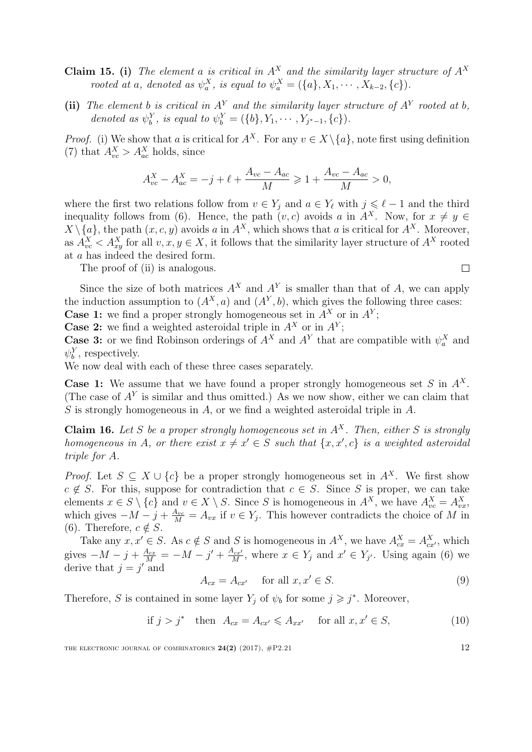- **Claim 15.** (i) The element a is critical in  $A^X$  and the similarity layer structure of  $A^X$ rooted at a, denoted as  $\psi_a^X$ , is equal to  $\psi_a^X = (\{a\}, X_1, \cdots, X_{k-2}, \{c\})$ .
- (ii) The element b is critical in  $A<sup>Y</sup>$  and the similarity layer structure of  $A<sup>Y</sup>$  rooted at b, denoted as  $\psi_b^Y$ , is equal to  $\psi_b^Y = (\{b\}, Y_1, \dots, Y_{j^*-1}, \{c\})$ .

*Proof.* (i) We show that a is critical for  $A^X$ . For any  $v \in X \setminus \{a\}$ , note first using definition [\(7\)](#page-10-1) that  $A_{vc}^X > A_{ac}^X$  holds, since

$$
A_{vc}^X - A_{ac}^X = -j + \ell + \frac{A_{vc} - A_{ac}}{M} \ge 1 + \frac{A_{vc} - A_{ac}}{M} > 0,
$$

where the first two relations follow from  $v \in Y_j$  and  $a \in Y_\ell$  with  $j \leq \ell - 1$  and the third inequality follows from [\(6\)](#page-10-3). Hence, the path  $(v, c)$  avoids a in  $A^X$ . Now, for  $x \neq y \in$  $X \setminus \{a\}$ , the path  $(x, c, y)$  avoids a in  $A^X$ , which shows that a is critical for  $A^X$ . Moreover, as  $A_{vc}^X < A_{xy}^X$  for all  $v, x, y \in X$ , it follows that the similarity layer structure of  $A^X$  rooted at a has indeed the desired form.

The proof of (ii) is analogous.

 $\Box$ 

Since the size of both matrices  $A^X$  and  $A^Y$  is smaller than that of A, we can apply the induction assumption to  $(A^X, a)$  and  $(A^Y, b)$ , which gives the following three cases:

**Case 1:** we find a proper strongly homogeneous set in  $A^X$  or in  $A^Y$ ;

**Case 2:** we find a weighted asteroidal triple in  $A^X$  or in  $A^Y$ ;

**Case 3:** or we find Robinson orderings of  $A^X$  and  $A^Y$  that are compatible with  $\psi_a^X$  and  $\psi_b^Y$ , respectively.

We now deal with each of these three cases separately.

**Case 1:** We assume that we have found a proper strongly homogeneous set S in  $A^X$ . (The case of  $A<sup>Y</sup>$  is similar and thus omitted.) As we now show, either we can claim that  $S$  is strongly homogeneous in  $A$ , or we find a weighted asteroidal triple in  $A$ .

Claim 16. Let S be a proper strongly homogeneous set in  $A^X$ . Then, either S is strongly homogeneous in A, or there exist  $x \neq x' \in S$  such that  $\{x, x', c\}$  is a weighted asteroidal triple for A.

*Proof.* Let  $S \subseteq X \cup \{c\}$  be a proper strongly homogeneous set in  $A^X$ . We first show  $c \notin S$ . For this, suppose for contradiction that  $c \in S$ . Since S is proper, we can take elements  $x \in S \setminus \{c\}$  and  $v \in X \setminus S$ . Since S is homogeneous in  $A^X$ , we have  $A^X_{vc} = A^X_{vx}$ , which gives  $-M-j+\frac{A_{vc}}{M}=A_{vx}$  if  $v \in Y_j$ . This however contradicts the choice of M in [\(6\)](#page-10-3). Therefore,  $c \notin S$ .

Take any  $x, x' \in S$ . As  $c \notin S$  and S is homogeneous in  $A^X$ , we have  $A^X_{cx} = A^X_{cx'}$ , which gives  $-M - j + \frac{A_{cx}}{M} = -M - j' + \frac{A_{cx}}{M}$  $\frac{N_{c,x'}}{M}$ , where  $x \in Y_j$  and  $x' \in Y_{j'}$ . Using again [\(6\)](#page-10-3) we derive that  $j = j'$  and

$$
A_{cx} = A_{cx'} \quad \text{for all } x, x' \in S. \tag{9}
$$

Therefore, S is contained in some layer  $Y_j$  of  $\psi_b$  for some  $j \geq j^*$ . Moreover,

<span id="page-11-0"></span>if  $j > j^*$  then  $A_{cx} = A_{cx'} \leq A_{xx'}$  for all  $x, x' \in S$ , (10)

THE ELECTRONIC JOURNAL OF COMBINATORICS  $24(2)$  (2017),  $\#P2.21$  12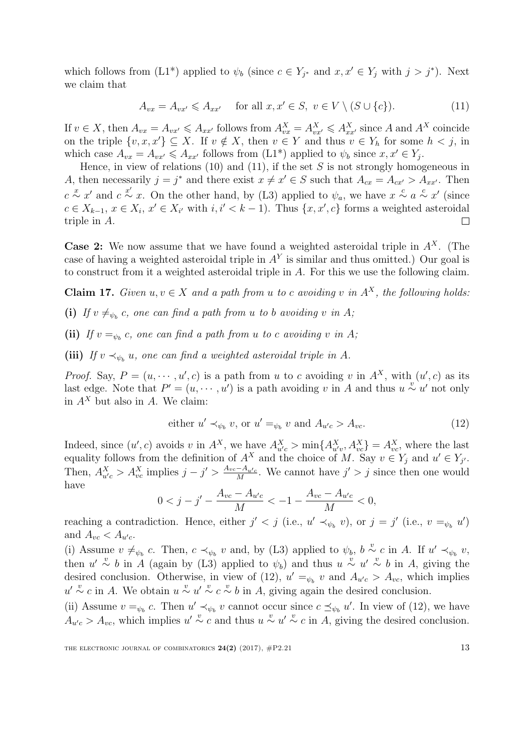which follows from  $(L1^*)$  applied to  $\psi_b$  (since  $c \in Y_{j^*}$  and  $x, x' \in Y_j$  with  $j > j^*$ ). Next we claim that

<span id="page-12-0"></span>
$$
A_{vx} = A_{vx'} \leq A_{xx'} \quad \text{for all } x, x' \in S, \ v \in V \setminus (S \cup \{c\}). \tag{11}
$$

If  $v \in X$ , then  $A_{vx} = A_{vx'} \leq A_{xx'}$  follows from  $A_{vx}^X = A_{vx'}^X \leq A_{xx'}^X$  since A and  $A^X$  coincide on the triple  $\{v, x, x'\} \subseteq X$ . If  $v \notin X$ , then  $v \in Y$  and thus  $v \in Y_h$  for some  $h < j$ , in which case  $A_{vx} = A_{vx'} \leq A_{xx'}$  follows from  $(L1^*)$  applied to  $\psi_b$  since  $x, x' \in Y_j$ .

Hence, in view of relations [\(10\)](#page-11-0) and [\(11\)](#page-12-0), if the set  $S$  is not strongly homogeneous in A, then necessarily  $j = j^*$  and there exist  $x \neq x' \in S$  such that  $A_{cx} = A_{cx'} > A_{xx'}$ . Then  $c \stackrel{x}{\sim} x'$  and  $c \stackrel{x'}{\sim} x$ . On the other hand, by (L3) applied to  $\psi_a$ , we have  $x \stackrel{c}{\sim} a \stackrel{c}{\sim} x'$  (since  $c \in X_{k-1}, x \in X_i, x' \in X_{i'}$  with  $i, i' < k-1$ ). Thus  $\{x, x', c\}$  forms a weighted asteroidal triple in A.  $\Box$ 

**Case 2:** We now assume that we have found a weighted asteroidal triple in  $A^X$ . (The case of having a weighted asteroidal triple in  $A<sup>Y</sup>$  is similar and thus omitted.) Our goal is to construct from it a weighted asteroidal triple in A. For this we use the following claim.

<span id="page-12-2"></span>**Claim 17.** Given  $u, v \in X$  and a path from u to c avoiding v in  $A^X$ , the following holds:

(i) If  $v \neq_{\psi_b} c$ , one can find a path from u to b avoiding v in A;

(ii) If  $v =_{\psi_b} c$ , one can find a path from u to c avoiding v in A;

(iii) If  $v \prec_{\psi_b} u$ , one can find a weighted asteroidal triple in A.

*Proof.* Say,  $P = (u, \dots, u', c)$  is a path from u to c avoiding v in  $A^X$ , with  $(u', c)$  as its last edge. Note that  $P' = (u, \dots, u')$  is a path avoiding v in A and thus  $u \overset{v}{\sim} u'$  not only in  $A^X$  but also in A. We claim:

<span id="page-12-1"></span>either 
$$
u' \prec_{\psi_b} v
$$
, or  $u' =_{\psi_b} v$  and  $A_{u'c} > A_{vc}$ . (12)

Indeed, since  $(u', c)$  avoids v in  $A^X$ , we have  $A^X_{u'c} > \min\{A^X_{u'v}, A^X_{vc}\} = A^X_{vc}$ , where the last equality follows from the definition of  $A^X$  and the choice of M. Say  $v \in Y_j$  and  $u' \in Y_{j'}$ . Then,  $A_{u'c}^X > A_{vc}^X$  implies  $j - j' > \frac{A_{vc} - A_{u'c}}{M}$  $\frac{-A_{u/c}}{M}$ . We cannot have  $j' > j$  since then one would have

$$
0 < j - j' - \frac{A_{vc} - A_{u'c}}{M} < -1 - \frac{A_{vc} - A_{u'c}}{M} < 0,
$$

reaching a contradiction. Hence, either  $j' < j$  (i.e.,  $u' \prec_{\psi_b} v$ ), or  $j = j'$  (i.e.,  $v =_{\psi_b} u'$ ) and  $A_{vc} < A_{u'c}$ .

(i) Assume  $v \neq_{\psi_b} c$ . Then,  $c \prec_{\psi_b} v$  and, by (L3) applied to  $\psi_b$ ,  $b \stackrel{v}{\sim} c$  in A. If  $u' \prec_{\psi_b} v$ , then  $u' \stackrel{v}{\sim} b$  in A (again by (L3) applied to  $\psi_b$ ) and thus  $u \stackrel{v}{\sim} u' \stackrel{v}{\sim} b$  in A, giving the desired conclusion. Otherwise, in view of [\(12\)](#page-12-1),  $u' =_{\psi_b} v$  and  $A_{u'c} > A_{vc}$ , which implies  $u' \sim c$  in A. We obtain  $u \sim u' \sim c \sim b$  in A, giving again the desired conclusion.

(ii) Assume  $v =_{\psi_b} c$ . Then  $u' \prec_{\psi_b} v$  cannot occur since  $c \preceq_{\psi_b} u'$ . In view of [\(12\)](#page-12-1), we have  $A_{u'c} > A_{vc}$ , which implies  $u' \sim c$  and thus  $u \sim u' \sim c$  in A, giving the desired conclusion.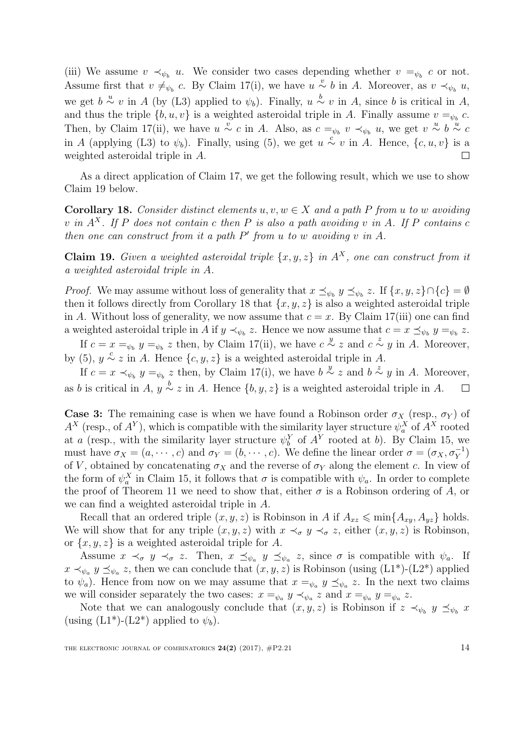(iii) We assume  $v \prec_{\psi_b} u$ . We consider two cases depending whether  $v =_{\psi_b} c$  or not. Assume first that  $v \neq_{\psi_b} c$ . By Claim [17\(](#page-12-2)i), we have  $u \stackrel{v}{\sim} b$  in A. Moreover, as  $v \prec_{\psi_b} u$ , we get  $b \stackrel{u}{\sim} v$  in A (by (L3) applied to  $\psi_b$ ). Finally,  $u \stackrel{b}{\sim} v$  in A, since b is critical in A, and thus the triple  $\{b, u, v\}$  is a weighted asteroidal triple in A. Finally assume  $v =_{\psi_b} c$ . Then, by Claim [17\(](#page-12-2)ii), we have  $u \stackrel{v}{\sim} c$  in A. Also, as  $c =_{\psi_b} v \prec_{\psi_b} u$ , we get  $v \stackrel{u}{\sim} b \stackrel{u}{\sim} c$ in A (applying (L3) to  $\psi_b$ ). Finally, using [\(5\)](#page-10-4), we get  $u \stackrel{c}{\sim} v$  in A. Hence,  $\{c, u, v\}$  is a weighted asteroidal triple in A.  $\Box$ 

As a direct application of Claim [17,](#page-12-2) we get the following result, which we use to show Claim [19](#page-13-0) below.

<span id="page-13-1"></span>**Corollary 18.** Consider distinct elements u, v,  $w \in X$  and a path P from u to w avoiding v in  $A^X$ . If P does not contain c then P is also a path avoiding v in A. If P contains c then one can construct from it a path  $P'$  from u to w avoiding v in A.

<span id="page-13-0"></span>**Claim 19.** Given a weighted asteroidal triple  $\{x, y, z\}$  in  $A^X$ , one can construct from it a weighted asteroidal triple in A.

*Proof.* We may assume without loss of generality that  $x \preceq_{\psi_b} y \preceq_{\psi_b} z$ . If  $\{x, y, z\} \cap \{c\} = \emptyset$ then it follows directly from Corollary [18](#page-13-1) that  $\{x, y, z\}$  is also a weighted asteroidal triple in A. Without loss of generality, we now assume that  $c = x$ . By Claim [17\(](#page-12-2)iii) one can find a weighted asteroidal triple in A if  $y \prec_{\psi_b} z$ . Hence we now assume that  $c = x \preceq_{\psi_b} y =_{\psi_b} z$ .

If  $c = x =_{\psi_b} y =_{\psi_b} z$  then, by Claim [17\(](#page-12-2)ii), we have  $c \stackrel{y}{\sim} z$  and  $c \stackrel{z}{\sim} y$  in A. Moreover, by [\(5\)](#page-10-4),  $y \stackrel{c}{\sim} z$  in A. Hence  $\{c, y, z\}$  is a weighted asteroidal triple in A.

If  $c = x \prec_{\psi_b} y =_{\psi_b} z$  then, by Claim [17\(](#page-12-2)i), we have  $b \stackrel{y}{\sim} z$  and  $b \stackrel{z}{\sim} y$  in A. Moreover, as b is critical in A,  $y \stackrel{b}{\sim} z$  in A. Hence  $\{b, y, z\}$  is a weighted asteroidal triple in A.  $\Box$ 

**Case 3:** The remaining case is when we have found a Robinson order  $\sigma_X$  (resp.,  $\sigma_Y$ ) of  $A^X$  (resp., of  $A^Y$ ), which is compatible with the similarity layer structure  $\psi_a^X$  of  $A^X$  rooted at a (resp., with the similarity layer structure  $\psi_b^Y$  of  $A^Y$  rooted at b). By Claim [15,](#page-0-0) we must have  $\sigma_X = (a, \dots, c)$  and  $\sigma_Y = (b, \dots, c)$ . We define the linear order  $\sigma = (\sigma_X, \sigma_Y^{-1})$ of V, obtained by concatenating  $\sigma_X$  and the reverse of  $\sigma_Y$  along the element c. In view of the form of  $\psi_a^X$  in Claim [15,](#page-0-0) it follows that  $\sigma$  is compatible with  $\psi_a$ . In order to complete the proof of Theorem [11](#page-8-1) we need to show that, either  $\sigma$  is a Robinson ordering of A, or we can find a weighted asteroidal triple in A.

Recall that an ordered triple  $(x, y, z)$  is Robinson in A if  $A_{xz} \leq \min\{A_{xy}, A_{yz}\}\)$  holds. We will show that for any triple  $(x, y, z)$  with  $x \prec_{\sigma} y \prec_{\sigma} z$ , either  $(x, y, z)$  is Robinson, or  $\{x, y, z\}$  is a weighted asteroidal triple for A.

Assume  $x \prec_{\sigma} y \prec_{\sigma} z$ . Then,  $x \preceq_{\psi_a} y \preceq_{\psi_a} z$ , since  $\sigma$  is compatible with  $\psi_a$ . If  $x \prec_{\psi_a} y \preceq_{\psi_a} z$ , then we can conclude that  $(x, y, z)$  is Robinson (using  $(L1^*)$ - $(L2^*)$ ) applied to  $\psi_a$ ). Hence from now on we may assume that  $x =_{\psi_a} y \preceq_{\psi_a} z$ . In the next two claims we will consider separately the two cases:  $x =_{\psi_a} y \prec_{\psi_a} z$  and  $x =_{\psi_a} y =_{\psi_a} z$ .

Note that we can analogously conclude that  $(x, y, z)$  is Robinson if  $z \prec_{\psi_b} y \preceq_{\psi_b} x$ (using  $(L1^*)$ - $(L2^*)$  applied to  $\psi_b$ ).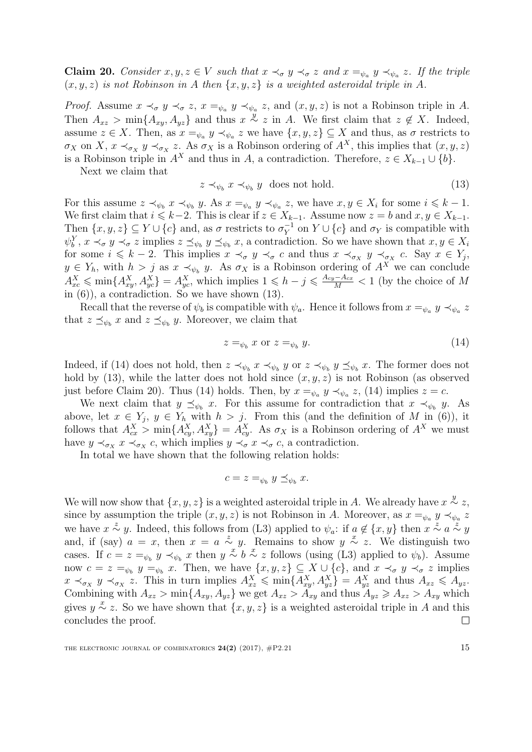<span id="page-14-2"></span>**Claim 20.** Consider  $x, y, z \in V$  such that  $x \prec_{\sigma} y \prec_{\sigma} z$  and  $x =_{\psi_a} y \prec_{\psi_a} z$ . If the triple  $(x, y, z)$  is not Robinson in A then  $\{x, y, z\}$  is a weighted asteroidal triple in A.

*Proof.* Assume  $x \prec_{\sigma} y \prec_{\sigma} z$ ,  $x =_{\psi_a} y \prec_{\psi_a} z$ , and  $(x, y, z)$  is not a Robinson triple in A. Then  $A_{xz} > \min\{A_{xy}, A_{yz}\}\$  and thus  $x \stackrel{y}{\sim} z$  in A. We first claim that  $z \notin X$ . Indeed, assume  $z \in X$ . Then, as  $x =_{\psi_a} y \prec_{\psi_a} z$  we have  $\{x, y, z\} \subseteq X$  and thus, as  $\sigma$  restricts to  $\sigma_X$  on X,  $x \prec_{\sigma_X} y \prec_{\sigma_X} z$ . As  $\sigma_X$  is a Robinson ordering of  $A^X$ , this implies that  $(x, y, z)$ is a Robinson triple in  $A^X$  and thus in A, a contradiction. Therefore,  $z \in X_{k-1} \cup \{b\}$ .

Next we claim that

<span id="page-14-0"></span>
$$
z \prec_{\psi_b} x \prec_{\psi_b} y \text{ does not hold.} \tag{13}
$$

For this assume  $z \prec_{\psi_b} x \prec_{\psi_b} y$ . As  $x =_{\psi_a} y \prec_{\psi_a} z$ , we have  $x, y \in X_i$  for some  $i \leq k - 1$ . We first claim that  $i \leq k-2$ . This is clear if  $z \in X_{k-1}$ . Assume now  $z = b$  and  $x, y \in X_{k-1}$ . Then  $\{x, y, z\} \subseteq Y \cup \{c\}$  and, as  $\sigma$  restricts to  $\sigma_Y^{-1}$  $Y^{\text{-}1}$  on  $Y \cup \{c\}$  and  $\sigma_Y$  is compatible with  $\psi_b^Y$ ,  $x \prec_{\sigma} y \prec_{\sigma} z$  implies  $z \preceq_{\psi_b} y \preceq_{\psi_b} x$ , a contradiction. So we have shown that  $x, y \in X_i$ for some  $i \leq k - 2$ . This implies  $x \prec_{\sigma} y \prec_{\sigma} c$  and thus  $x \prec_{\sigma_X} y \prec_{\sigma_X} c$ . Say  $x \in Y_j$ ,  $y \in Y_h$ , with  $h > j$  as  $x \prec_{\psi_b} y$ . As  $\sigma_X$  is a Robinson ordering of  $A^X$  we can conclude  $A_{xc}^X \leq \min\{A_{xy}^X, A_{yc}^X\} = A_{yc}^X$ , which implies  $1 \leqslant h - j \leqslant \frac{A_{cy} - A_{cx}}{M} < 1$  (by the choice of M in  $(6)$ , a contradiction. So we have shown  $(13)$ .

Recall that the reverse of  $\psi_b$  is compatible with  $\psi_a$ . Hence it follows from  $x =_{\psi_a} y \prec_{\psi_a} z$ that  $z \preceq_{\psi_b} x$  and  $z \preceq_{\psi_b} y$ . Moreover, we claim that

<span id="page-14-1"></span>
$$
z =_{\psi_b} x \text{ or } z =_{\psi_b} y. \tag{14}
$$

Indeed, if [\(14\)](#page-14-1) does not hold, then  $z \prec_{\psi_b} x \prec_{\psi_b} y$  or  $z \prec_{\psi_b} y \preceq_{\psi_b} x$ . The former does not hold by [\(13\)](#page-14-0), while the latter does not hold since  $(x, y, z)$  is not Robinson (as observed just before Claim [20\)](#page-14-2). Thus [\(14\)](#page-14-1) holds. Then, by  $x =_{\psi_a} y \prec_{\psi_a} z$ , (14) implies  $z = c$ .

We next claim that  $y \preceq_{\psi_b} x$ . For this assume for contradiction that  $x \prec_{\psi_b} y$ . As above, let  $x \in Y_j$ ,  $y \in Y_h$  with  $h > j$ . From this (and the definition of M in [\(6\)](#page-10-3)), it follows that  $A_{cx}^X > \min\{A_{cy}^X, A_{xy}^X\} = A_{cy}^X$ . As  $\sigma_X$  is a Robinson ordering of  $A^X$  we must have  $y \prec_{\sigma_X} x \prec_{\sigma_X} c$ , which implies  $y \prec_{\sigma} x \prec_{\sigma} c$ , a contradiction.

In total we have shown that the following relation holds:

$$
c = z =_{\psi_b} y \preceq_{\psi_b} x.
$$

We will now show that  $\{x, y, z\}$  is a weighted asteroidal triple in A. We already have  $x \stackrel{y}{\sim} z$ , since by assumption the triple  $(x, y, z)$  is not Robinson in A. Moreover, as  $x =_{\psi_a} y \prec_{\psi_a} z$ we have  $x \stackrel{z}{\sim} y$ . Indeed, this follows from (L3) applied to  $\psi_a$ : if  $a \notin \{x, y\}$  then  $x \stackrel{z}{\sim} a \stackrel{z}{\sim} y$ and, if (say)  $a = x$ , then  $x = a \stackrel{z}{\sim} y$ . Remains to show  $y \stackrel{x}{\sim} z$ . We distinguish two cases. If  $c = z =_{\psi_b} y \prec_{\psi_b} x$  then  $y \stackrel{x}{\sim} b \stackrel{x}{\sim} z$  follows (using (L3) applied to  $\psi_b$ ). Assume now  $c = z =_{\psi_b} y =_{\psi_b} x$ . Then, we have  $\{x, y, z\} \subseteq X \cup \{c\}$ , and  $x \prec_{\sigma} y \prec_{\sigma} z$  implies  $x \prec_{\sigma_X} y \prec_{\sigma_X} z$ . This in turn implies  $A_{xz}^X \leqslant \min\{A_{xy}^X, A_{yz}^X\} = A_{yz}^X$  and thus  $A_{xz} \leqslant A_{yz}$ . Combining with  $A_{xz} > \min\{A_{xy}, A_{yz}\}\$  we get  $A_{xz} > A_{xy}$  and thus  $A_{yz} \ge A_{xz} > A_{xy}$  which gives  $y \stackrel{x}{\sim} z$ . So we have shown that  $\{x, y, z\}$  is a weighted asteroidal triple in A and this concludes the proof.  $\Box$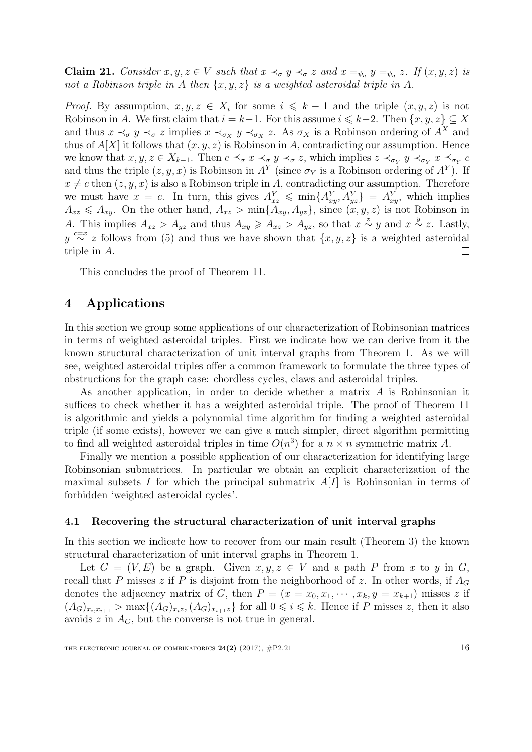**Claim 21.** Consider  $x, y, z \in V$  such that  $x \prec_{\sigma} y \prec_{\sigma} z$  and  $x =_{\psi_a} y =_{\psi_a} z$ . If  $(x, y, z)$  is not a Robinson triple in A then  $\{x, y, z\}$  is a weighted asteroidal triple in A.

*Proof.* By assumption,  $x, y, z \in X_i$  for some  $i \leq k - 1$  and the triple  $(x, y, z)$  is not Robinson in A. We first claim that  $i = k-1$ . For this assume  $i \leq k-2$ . Then  $\{x, y, z\} \subseteq X$ and thus  $x \prec_{\sigma} y \prec_{\sigma} z$  implies  $x \prec_{\sigma_X} y \prec_{\sigma_X} z$ . As  $\sigma_X$  is a Robinson ordering of  $A^X$  and thus of  $A[X]$  it follows that  $(x, y, z)$  is Robinson in A, contradicting our assumption. Hence we know that  $x, y, z \in X_{k-1}$ . Then  $c \preceq_{\sigma} x \prec_{\sigma} y \prec_{\sigma} z$ , which implies  $z \prec_{\sigma_Y} y \prec_{\sigma_Y} x \preceq_{\sigma_Y} c$ and thus the triple  $(z, y, x)$  is Robinson in  $A<sup>Y</sup>$  (since  $\sigma<sub>Y</sub>$  is a Robinson ordering of  $A<sup>Y</sup>$ ). If  $x \neq c$  then  $(z, y, x)$  is also a Robinson triple in A, contradicting our assumption. Therefore we must have  $x = c$ . In turn, this gives  $A_{xz}^Y \leqslant \min\{A_{xy}^Y, A_{yz}^Y\} = A_{xy}^Y$ , which implies  $A_{xz} \leq A_{xy}$ . On the other hand,  $A_{xz} > \min\{A_{xy}, A_{yz}\}\$ , since  $(x, y, z)$  is not Robinson in A. This implies  $A_{xz} > A_{yz}$  and thus  $A_{xy} \ge A_{xz} > A_{yz}$ , so that  $x \stackrel{z}{\sim} y$  and  $x \stackrel{y}{\sim} z$ . Lastly,  $y \stackrel{c=x}{\sim} z$  follows from [\(5\)](#page-10-4) and thus we have shown that  $\{x, y, z\}$  is a weighted asteroidal triple in A.  $\Box$ 

This concludes the proof of Theorem [11.](#page-8-1)

# <span id="page-15-1"></span>4 Applications

In this section we group some applications of our characterization of Robinsonian matrices in terms of weighted asteroidal triples. First we indicate how we can derive from it the known structural characterization of unit interval graphs from Theorem [1.](#page-3-2) As we will see, weighted asteroidal triples offer a common framework to formulate the three types of obstructions for the graph case: chordless cycles, claws and asteroidal triples.

As another application, in order to decide whether a matrix A is Robinsonian it suffices to check whether it has a weighted asteroidal triple. The proof of Theorem [11](#page-8-1) is algorithmic and yields a polynomial time algorithm for finding a weighted asteroidal triple (if some exists), however we can give a much simpler, direct algorithm permitting to find all weighted asteroidal triples in time  $O(n^3)$  for a  $n \times n$  symmetric matrix A.

Finally we mention a possible application of our characterization for identifying large Robinsonian submatrices. In particular we obtain an explicit characterization of the maximal subsets I for which the principal submatrix  $A[I]$  is Robinsonian in terms of forbidden 'weighted asteroidal cycles'.

### <span id="page-15-0"></span>4.1 Recovering the structural characterization of unit interval graphs

In this section we indicate how to recover from our main result (Theorem [3\)](#page-4-0) the known structural characterization of unit interval graphs in Theorem [1.](#page-3-2)

Let  $G = (V, E)$  be a graph. Given  $x, y, z \in V$  and a path P from x to y in G, recall that P misses z if P is disjoint from the neighborhood of z. In other words, if  $A_G$ denotes the adjacency matrix of G, then  $P = (x = x_0, x_1, \dots, x_k, y = x_{k+1})$  misses z if  $(A_G)_{x_i,x_{i+1}} > \max\{(A_G)_{x_i,z}, (A_G)_{x_{i+1}z}\}\$ for all  $0 \leq i \leq k$ . Hence if P misses z, then it also avoids  $z$  in  $A_G$ , but the converse is not true in general.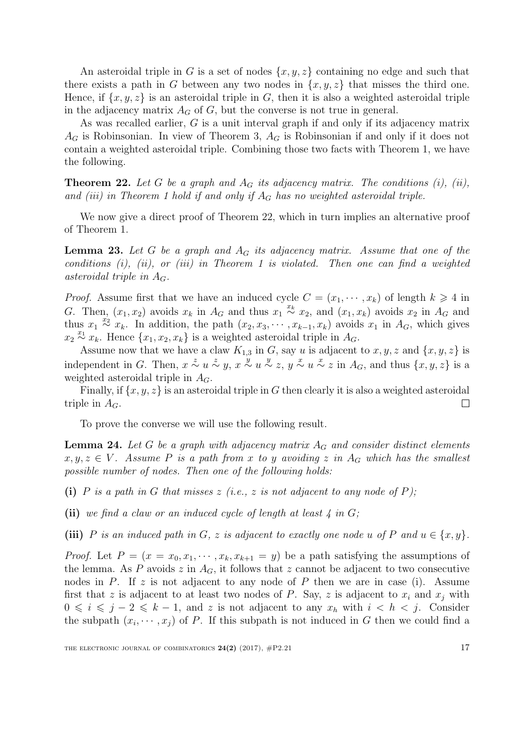An asteroidal triple in G is a set of nodes  $\{x, y, z\}$  containing no edge and such that there exists a path in G between any two nodes in  $\{x, y, z\}$  that misses the third one. Hence, if  $\{x, y, z\}$  is an asteroidal triple in G, then it is also a weighted asteroidal triple in the adjacency matrix  $A_G$  of  $G$ , but the converse is not true in general.

As was recalled earlier, G is a unit interval graph if and only if its adjacency matrix  $A_G$  is Robinsonian. In view of Theorem [3,](#page-4-0)  $A_G$  is Robinsonian if and only if it does not contain a weighted asteroidal triple. Combining those two facts with Theorem [1,](#page-3-2) we have the following.

<span id="page-16-0"></span>**Theorem 22.** Let G be a graph and  $A_G$  its adjacency matrix. The conditions (i), (ii), and (iii) in Theorem [1](#page-3-2) hold if and only if  $A_G$  has no weighted asteroidal triple.

We now give a direct proof of Theorem [22,](#page-16-0) which in turn implies an alternative proof of Theorem [1.](#page-3-2)

<span id="page-16-2"></span>**Lemma 23.** Let G be a graph and  $A_G$  its adjacency matrix. Assume that one of the conditions  $(i)$ ,  $(ii)$ , or  $(iii)$  in Theorem [1](#page-3-2) is violated. Then one can find a weighted asteroidal triple in  $A_G$ .

*Proof.* Assume first that we have an induced cycle  $C = (x_1, \dots, x_k)$  of length  $k \geq 4$  in G. Then,  $(x_1, x_2)$  avoids  $x_k$  in  $A_G$  and thus  $x_1 \stackrel{x_k}{\sim} x_2$ , and  $(x_1, x_k)$  avoids  $x_2$  in  $A_G$  and thus  $x_1 \stackrel{x_2}{\sim} x_k$ . In addition, the path  $(x_2, x_3, \cdots, x_{k-1}, x_k)$  avoids  $x_1$  in  $A_G$ , which gives  $x_2 \stackrel{x_1}{\sim} x_k$ . Hence  $\{x_1, x_2, x_k\}$  is a weighted asteroidal triple in  $A_G$ .

Assume now that we have a claw  $K_{1,3}$  in G, say u is adjacent to  $x, y, z$  and  $\{x, y, z\}$  is independent in G. Then,  $x \stackrel{z}{\sim} u \stackrel{z}{\sim} y$ ,  $x \stackrel{y}{\sim} u \stackrel{y}{\sim} z$ ,  $y \stackrel{x}{\sim} u \stackrel{x}{\sim} z$  in  $A_G$ , and thus  $\{x, y, z\}$  is a weighted asteroidal triple in  $A_G$ .

Finally, if  $\{x, y, z\}$  is an asteroidal triple in G then clearly it is also a weighted asteroidal triple in  $A_G$ .  $\Box$ 

To prove the converse we will use the following result.

<span id="page-16-1"></span>**Lemma 24.** Let G be a graph with adjacency matrix  $A_G$  and consider distinct elements  $x, y, z \in V$ . Assume P is a path from x to y avoiding z in A<sub>G</sub> which has the smallest possible number of nodes. Then one of the following holds:

- (i) P is a path in G that misses  $z$  (i.e.,  $z$  is not adjacent to any node of P);
- (ii) we find a claw or an induced cycle of length at least  $\lambda$  in  $G$ ;

(iii) P is an induced path in G, z is adjacent to exactly one node u of P and  $u \in \{x, y\}$ .

*Proof.* Let  $P = (x = x_0, x_1, \dots, x_k, x_{k+1} = y)$  be a path satisfying the assumptions of the lemma. As P avoids z in  $A_G$ , it follows that z cannot be adjacent to two consecutive nodes in  $P$ . If  $z$  is not adjacent to any node of  $P$  then we are in case (i). Assume first that z is adjacent to at least two nodes of P. Say, z is adjacent to  $x_i$  and  $x_j$  with  $0 \leq i \leq j - 2 \leq k - 1$ , and z is not adjacent to any  $x_h$  with  $i < h < j$ . Consider the subpath  $(x_i, \dots, x_j)$  of P. If this subpath is not induced in G then we could find a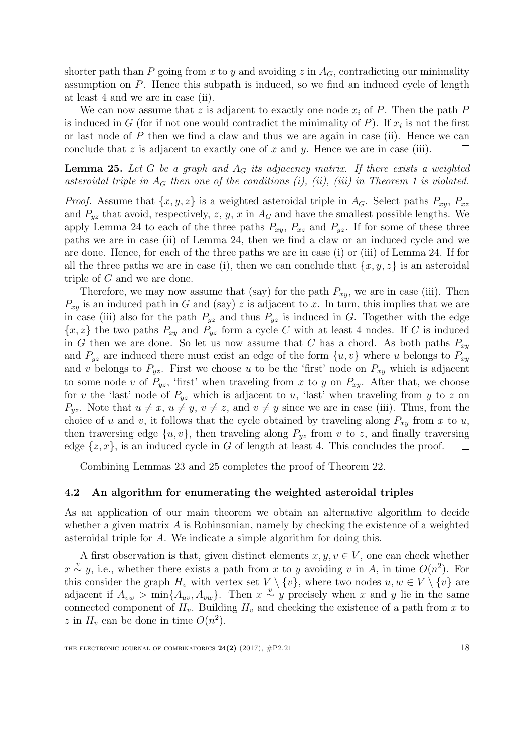shorter path than P going from x to y and avoiding z in  $A_G$ , contradicting our minimality assumption on P. Hence this subpath is induced, so we find an induced cycle of length at least 4 and we are in case (ii).

We can now assume that z is adjacent to exactly one node  $x_i$  of P. Then the path P is induced in G (for if not one would contradict the minimality of  $P$ ). If  $x_i$  is not the first or last node of  $P$  then we find a claw and thus we are again in case (ii). Hence we can conclude that z is adjacent to exactly one of x and y. Hence we are in case (iii).  $\Box$ 

<span id="page-17-0"></span>**Lemma 25.** Let G be a graph and  $A_G$  its adjacency matrix. If there exists a weighted asteroidal triple in  $A_G$  then one of the conditions (i), (ii), (iii) in Theorem [1](#page-3-2) is violated.

*Proof.* Assume that  $\{x, y, z\}$  is a weighted asteroidal triple in  $A_G$ . Select paths  $P_{xy}$ ,  $P_{xz}$ and  $P_{yz}$  that avoid, respectively, z, y, x in  $A_G$  and have the smallest possible lengths. We apply Lemma [24](#page-16-1) to each of the three paths  $P_{xy}$ ,  $P_{xz}$  and  $P_{yz}$ . If for some of these three paths we are in case (ii) of Lemma [24,](#page-16-1) then we find a claw or an induced cycle and we are done. Hence, for each of the three paths we are in case (i) or (iii) of Lemma [24.](#page-16-1) If for all the three paths we are in case (i), then we can conclude that  $\{x, y, z\}$  is an asteroidal triple of G and we are done.

Therefore, we may now assume that (say) for the path  $P_{xy}$ , we are in case (iii). Then  $P_{xy}$  is an induced path in G and (say) z is adjacent to x. In turn, this implies that we are in case (iii) also for the path  $P_{yz}$  and thus  $P_{yz}$  is induced in G. Together with the edge  ${x, z}$  the two paths  $P_{xy}$  and  $P_{yz}$  form a cycle C with at least 4 nodes. If C is induced in G then we are done. So let us now assume that C has a chord. As both paths  $P_{xy}$ and  $P_{uz}$  are induced there must exist an edge of the form  $\{u, v\}$  where u belongs to  $P_{xy}$ and v belongs to  $P_{yz}$ . First we choose u to be the 'first' node on  $P_{xy}$  which is adjacent to some node v of  $P_{yz}$ , 'first' when traveling from x to y on  $P_{xy}$ . After that, we choose for v the 'last' node of  $P_{yz}$  which is adjacent to u, 'last' when traveling from y to z on  $P_{yz}$ . Note that  $u \neq x$ ,  $u \neq y$ ,  $v \neq z$ , and  $v \neq y$  since we are in case (iii). Thus, from the choice of u and v, it follows that the cycle obtained by traveling along  $P_{xy}$  from x to u, then traversing edge  $\{u, v\}$ , then traveling along  $P_{yz}$  from v to z, and finally traversing edge  $\{z, x\}$ , is an induced cycle in G of length at least 4. This concludes the proof.  $\Box$ 

Combining Lemmas [23](#page-16-2) and [25](#page-17-0) completes the proof of Theorem [22.](#page-16-0)

### 4.2 An algorithm for enumerating the weighted asteroidal triples

As an application of our main theorem we obtain an alternative algorithm to decide whether a given matrix  $\vec{A}$  is Robinsonian, namely by checking the existence of a weighted asteroidal triple for A. We indicate a simple algorithm for doing this.

A first observation is that, given distinct elements  $x, y, v \in V$ , one can check whether  $x \stackrel{v}{\sim} y$ , i.e., whether there exists a path from x to y avoiding v in A, in time  $O(n^2)$ . For this consider the graph  $H_v$  with vertex set  $V \setminus \{v\}$ , where two nodes  $u, w \in V \setminus \{v\}$  are adjacent if  $A_{vw} > \min\{A_{uv}, A_{vw}\}\$ . Then  $x \stackrel{v}{\sim} y$  precisely when x and y lie in the same connected component of  $H_v$ . Building  $H_v$  and checking the existence of a path from x to z in  $H_v$  can be done in time  $O(n^2)$ .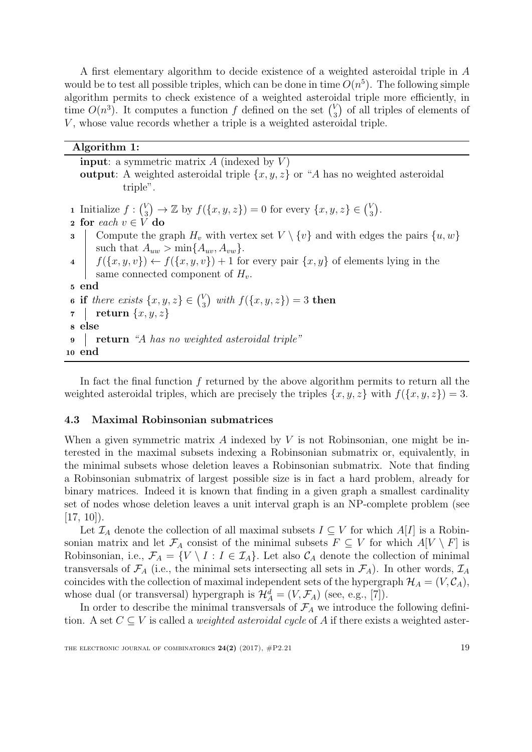A first elementary algorithm to decide existence of a weighted asteroidal triple in A would be to test all possible triples, which can be done in time  $O(n^5)$ . The following simple algorithm permits to check existence of a weighted asteroidal triple more efficiently, in time  $O(n^3)$ . It computes a function f defined on the set  $\binom{V_n}{n}$  $\binom{V}{3}$  of all triples of elements of  $V$ , whose value records whether a triple is a weighted asteroidal triple.

| Algorithm 1:                                                                                                                                                       |
|--------------------------------------------------------------------------------------------------------------------------------------------------------------------|
| <b>input</b> : a symmetric matrix $A$ (indexed by $V$ )<br><b>output</b> : A weighted asteroidal triple $\{x, y, z\}$ or "A has no weighted asteroidal<br>triple". |
| 1 Initialize $f: \binom{V}{3} \to \mathbb{Z}$ by $f(\{x, y, z\}) = 0$ for every $\{x, y, z\} \in \binom{V}{3}$ .<br>2 for each $v \in V$ do                        |
| Compute the graph $H_v$ with vertex set $V \setminus \{v\}$ and with edges the pairs $\{u, w\}$<br>$\bf{3}$<br>such that $A_{uw} > \min\{A_{uv}, A_{vw}\}.$        |
| 4 $\int f(\{x,y,v\}) \leftarrow f(\{x,y,v\}) + 1$ for every pair $\{x,y\}$ of elements lying in the<br>same connected component of $H_n$ .                         |
| 5 end                                                                                                                                                              |
| <b>6</b> if there exists $\{x, y, z\} \in \binom{V}{3}$ with $f(\{x, y, z\}) = 3$ then                                                                             |
| $\tau$   return $\{x, y, z\}$                                                                                                                                      |
| s else                                                                                                                                                             |
| <b>return</b> "A has no weighted asteroidal triple"<br>$\boldsymbol{9}$                                                                                            |
| 10 end                                                                                                                                                             |

In fact the final function  $f$  returned by the above algorithm permits to return all the weighted asteroidal triples, which are precisely the triples  $\{x, y, z\}$  with  $f(\{x, y, z\}) = 3$ .

### 4.3 Maximal Robinsonian submatrices

When a given symmetric matrix A indexed by  $V$  is not Robinsonian, one might be interested in the maximal subsets indexing a Robinsonian submatrix or, equivalently, in the minimal subsets whose deletion leaves a Robinsonian submatrix. Note that finding a Robinsonian submatrix of largest possible size is in fact a hard problem, already for binary matrices. Indeed it is known that finding in a given graph a smallest cardinality set of nodes whose deletion leaves a unit interval graph is an NP-complete problem (see  $[17, 10]$  $[17, 10]$  $[17, 10]$ ).

Let  $\mathcal{I}_A$  denote the collection of all maximal subsets  $I \subseteq V$  for which  $A[I]$  is a Robinsonian matrix and let  $\mathcal{F}_A$  consist of the minimal subsets  $F \subseteq V$  for which  $A[V \setminus F]$  is Robinsonian, i.e.,  $\mathcal{F}_A = \{V \setminus I : I \in \mathcal{I}_A\}$ . Let also  $\mathcal{C}_A$  denote the collection of minimal transversals of  $\mathcal{F}_A$  (i.e., the minimal sets intersecting all sets in  $\mathcal{F}_A$ ). In other words,  $\mathcal{I}_A$ coincides with the collection of maximal independent sets of the hypergraph  $\mathcal{H}_A = (V, \mathcal{C}_A)$ , whose dual (or transversal) hypergraph is  $\mathcal{H}_A^d = (V, \mathcal{F}_A)$  (see, e.g., [\[7\]](#page-20-14)).

In order to describe the minimal transversals of  $\mathcal{F}_A$  we introduce the following definition. A set  $C \subseteq V$  is called a *weighted asteroidal cycle* of A if there exists a weighted aster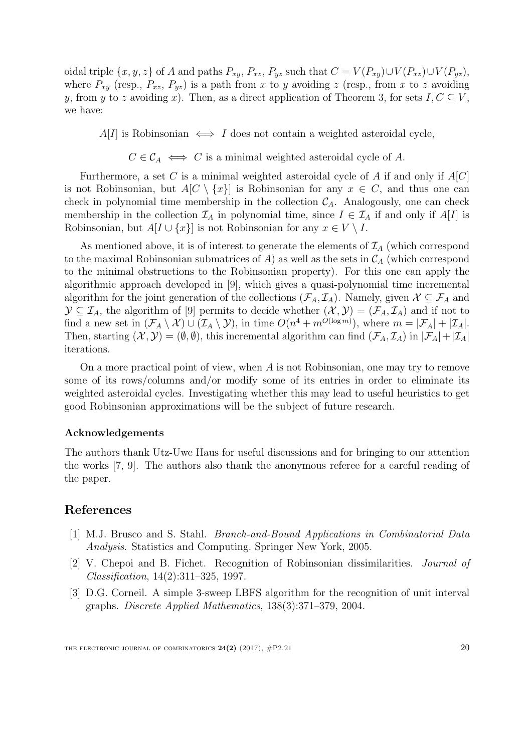oidal triple  $\{x, y, z\}$  of A and paths  $P_{xy}$ ,  $P_{xz}$ ,  $P_{yz}$  such that  $C = V(P_{xy}) \cup V(P_{xz}) \cup V(P_{yz})$ , where  $P_{xy}$  (resp.,  $P_{xz}, P_{yz}$ ) is a path from x to y avoiding z (resp., from x to z avoiding y, from y to z avoiding x). Then, as a direct application of Theorem [3,](#page-4-0) for sets  $I, C \subseteq V$ , we have:

 $A[I]$  is Robinsonian  $\iff I$  does not contain a weighted asteroidal cycle,

 $C \in \mathcal{C}_A \iff C$  is a minimal weighted asteroidal cycle of A.

Furthermore, a set C is a minimal weighted asteroidal cycle of A if and only if  $A[C]$ is not Robinsonian, but  $A[C \setminus \{x\}]$  is Robinsonian for any  $x \in C$ , and thus one can check in polynomial time membership in the collection  $C_A$ . Analogously, one can check membership in the collection  $\mathcal{I}_A$  in polynomial time, since  $I \in \mathcal{I}_A$  if and only if  $A[I]$  is Robinsonian, but  $A[I \cup \{x\}]$  is not Robinsonian for any  $x \in V \setminus I$ .

As mentioned above, it is of interest to generate the elements of  $\mathcal{I}_A$  (which correspond to the maximal Robinsonian submatrices of A) as well as the sets in  $\mathcal{C}_A$  (which correspond to the minimal obstructions to the Robinsonian property). For this one can apply the algorithmic approach developed in [\[9\]](#page-20-15), which gives a quasi-polynomial time incremental algorithm for the joint generation of the collections  $(\mathcal{F}_A, \mathcal{I}_A)$ . Namely, given  $\mathcal{X} \subseteq \mathcal{F}_A$  and  $\mathcal{Y} \subseteq \mathcal{I}_A$ , the algorithm of [\[9\]](#page-20-15) permits to decide whether  $(\mathcal{X}, \mathcal{Y}) = (\mathcal{F}_A, \mathcal{I}_A)$  and if not to find a new set in  $(\mathcal{F}_A \setminus \mathcal{X}) \cup (\mathcal{I}_A \setminus \mathcal{Y})$ , in time  $O(n^4 + m^{O(\log m)})$ , where  $m = |\mathcal{F}_A| + |\mathcal{I}_A|$ . Then, starting  $(\mathcal{X}, \mathcal{Y}) = (\emptyset, \emptyset)$ , this incremental algorithm can find  $(\mathcal{F}_A, \mathcal{I}_A)$  in  $|\mathcal{F}_A| + |\mathcal{I}_A|$ iterations.

On a more practical point of view, when  $A$  is not Robinsonian, one may try to remove some of its rows/columns and/or modify some of its entries in order to eliminate its weighted asteroidal cycles. Investigating whether this may lead to useful heuristics to get good Robinsonian approximations will be the subject of future research.

### Acknowledgements

The authors thank Utz-Uwe Haus for useful discussions and for bringing to our attention the works [\[7,](#page-20-14) [9\]](#page-20-15). The authors also thank the anonymous referee for a careful reading of the paper.

# References

- <span id="page-19-0"></span>[1] M.J. Brusco and S. Stahl. Branch-and-Bound Applications in Combinatorial Data Analysis. Statistics and Computing. Springer New York, 2005.
- <span id="page-19-1"></span>[2] V. Chepoi and B. Fichet. Recognition of Robinsonian dissimilarities. Journal of Classification, 14(2):311–325, 1997.
- <span id="page-19-2"></span>[3] D.G. Corneil. A simple 3-sweep LBFS algorithm for the recognition of unit interval graphs. Discrete Applied Mathematics, 138(3):371–379, 2004.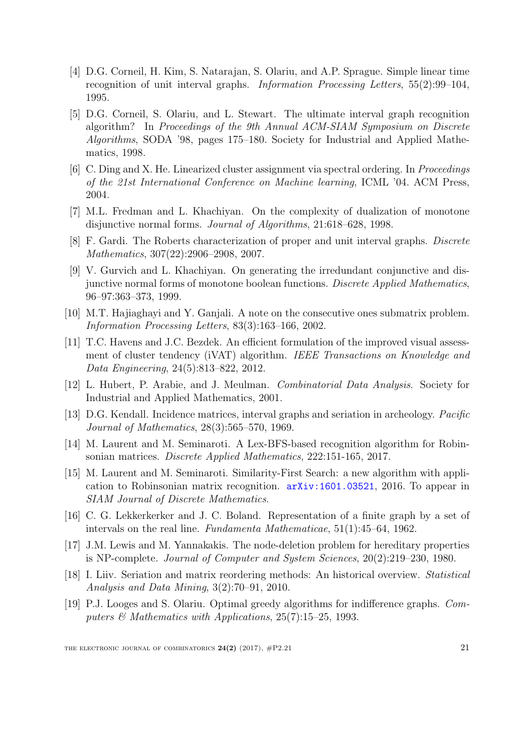- <span id="page-20-7"></span>[4] D.G. Corneil, H. Kim, S. Natarajan, S. Olariu, and A.P. Sprague. Simple linear time recognition of unit interval graphs. Information Processing Letters, 55(2):99–104, 1995.
- <span id="page-20-11"></span>[5] D.G. Corneil, S. Olariu, and L. Stewart. The ultimate interval graph recognition algorithm? In Proceedings of the 9th Annual ACM-SIAM Symposium on Discrete Algorithms, SODA '98, pages 175–180. Society for Industrial and Applied Mathematics, 1998.
- <span id="page-20-2"></span>[6] C. Ding and X. He. Linearized cluster assignment via spectral ordering. In Proceedings of the 21st International Conference on Machine learning, ICML '04. ACM Press, 2004.
- <span id="page-20-14"></span>[7] M.L. Fredman and L. Khachiyan. On the complexity of dualization of monotone disjunctive normal forms. Journal of Algorithms, 21:618–628, 1998.
- <span id="page-20-10"></span>[8] F. Gardi. The Roberts characterization of proper and unit interval graphs. Discrete Mathematics, 307(22):2906–2908, 2007.
- <span id="page-20-15"></span>[9] V. Gurvich and L. Khachiyan. On generating the irredundant conjunctive and disjunctive normal forms of monotone boolean functions. Discrete Applied Mathematics, 96–97:363–373, 1999.
- <span id="page-20-13"></span>[10] M.T. Hajiaghayi and Y. Ganjali. A note on the consecutive ones submatrix problem. Information Processing Letters, 83(3):163–166, 2002.
- <span id="page-20-3"></span>[11] T.C. Havens and J.C. Bezdek. An efficient formulation of the improved visual assessment of cluster tendency (iVAT) algorithm. IEEE Transactions on Knowledge and Data Engineering, 24(5):813–822, 2012.
- <span id="page-20-1"></span>[12] L. Hubert, P. Arabie, and J. Meulman. Combinatorial Data Analysis. Society for Industrial and Applied Mathematics, 2001.
- <span id="page-20-0"></span>[13] D.G. Kendall. Incidence matrices, interval graphs and seriation in archeology. Pacific Journal of Mathematics, 28(3):565–570, 1969.
- <span id="page-20-5"></span>[14] M. Laurent and M. Seminaroti. A Lex-BFS-based recognition algorithm for Robinsonian matrices. Discrete Applied Mathematics, 222:151-165, 2017.
- <span id="page-20-6"></span>[15] M. Laurent and M. Seminaroti. Similarity-First Search: a new algorithm with application to Robinsonian matrix recognition. [arXiv:1601.03521](http://arxiv.org/abs/1601.03521), 2016. To appear in SIAM Journal of Discrete Mathematics.
- <span id="page-20-9"></span>[16] C. G. Lekkerkerker and J. C. Boland. Representation of a finite graph by a set of intervals on the real line. Fundamenta Mathematicae, 51(1):45–64, 1962.
- <span id="page-20-12"></span>[17] J.M. Lewis and M. Yannakakis. The node-deletion problem for hereditary properties is NP-complete. Journal of Computer and System Sciences, 20(2):219–230, 1980.
- <span id="page-20-4"></span>[18] I. Liiv. Seriation and matrix reordering methods: An historical overview. Statistical Analysis and Data Mining, 3(2):70–91, 2010.
- <span id="page-20-8"></span>[19] P.J. Looges and S. Olariu. Optimal greedy algorithms for indifference graphs. Computers  $\mathscr$  Mathematics with Applications, 25(7):15–25, 1993.